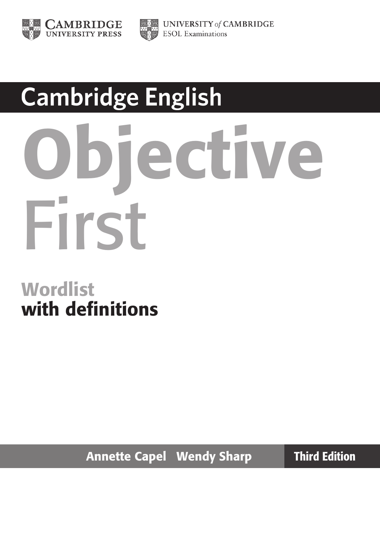



## **Cambridge English**

# iective First

#### **Wordlist** with definitions

Annette Capel Wendy Sharp Third Edition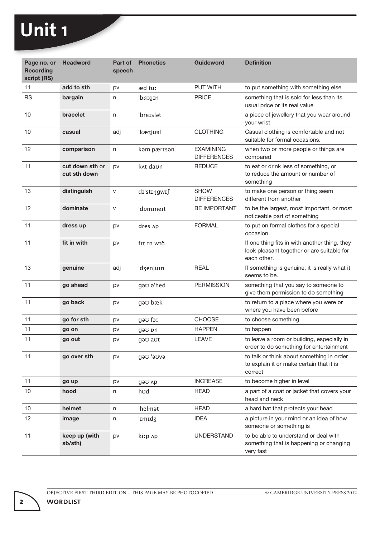| Page no. or<br><b>Recording</b><br>script (RS) | <b>Headword</b>                 | Part of<br>speech | <b>Phonetics</b>     | <b>Guideword</b>                       | <b>Definition</b>                                                                                          |
|------------------------------------------------|---------------------------------|-------------------|----------------------|----------------------------------------|------------------------------------------------------------------------------------------------------------|
| 11                                             | add to sth                      | pv                | æd tuː               | <b>PUT WITH</b>                        | to put something with something else                                                                       |
| <b>RS</b>                                      | bargain                         | n                 | 'baːgɪn              | <b>PRICE</b>                           | something that is sold for less than its<br>usual price or its real value                                  |
| 10                                             | bracelet                        | n                 | 'breislat            |                                        | a piece of jewellery that you wear around<br>your wrist                                                    |
| 10                                             | casual                          | adj               | 'kæʒjuəl             | <b>CLOTHING</b>                        | Casual clothing is comfortable and not<br>suitable for formal occasions.                                   |
| 12                                             | comparison                      | n                 | kam'pærisan          | <b>EXAMINING</b><br><b>DIFFERENCES</b> | when two or more people or things are<br>compared                                                          |
| 11                                             | cut down sth or<br>cut sth down | pv                | k <sub>At</sub> daun | <b>REDUCE</b>                          | to eat or drink less of something, or<br>to reduce the amount or number of<br>something                    |
| 13                                             | distinguish                     | $\mathsf{V}$      | dı'stıngwıf          | <b>SHOW</b><br><b>DIFFERENCES</b>      | to make one person or thing seem<br>different from another                                                 |
| 12                                             | dominate                        | $\mathsf{V}$      | 'domineit            | <b>BE IMPORTANT</b>                    | to be the largest, most important, or most<br>noticeable part of something                                 |
| 11                                             | dress up                        | pv                | dres Ap              | <b>FORMAL</b>                          | to put on formal clothes for a special<br>occasion                                                         |
| 11                                             | fit in with                     | pv                | fɪt ɪn wɪð           |                                        | If one thing fits in with another thing, they<br>look pleasant together or are suitable for<br>each other. |
| 13                                             | genuine                         | adj               | 'dzenjuɪn            | REAL                                   | If something is genuine, it is really what it<br>seems to be.                                              |
| 11                                             | go ahead                        | pv                | gau a'hed            | <b>PERMISSION</b>                      | something that you say to someone to<br>give them permission to do something                               |
| 11                                             | go back                         | pv                | gau bæk              |                                        | to return to a place where you were or<br>where you have been before                                       |
| 11                                             | go for sth                      | pv                | sto for              | <b>CHOOSE</b>                          | to choose something                                                                                        |
| 11                                             | go on                           | pv                | gau pn               | <b>HAPPEN</b>                          | to happen                                                                                                  |
| 11                                             | go out                          | pv                | gəu aut              | <b>LEAVE</b>                           | to leave a room or building, especially in<br>order to do something for entertainment                      |
| 11                                             | go over sth                     | pv                | Gvue' uep            |                                        | to talk or think about something in order<br>to explain it or make certain that it is<br>correct           |
| 11                                             | go up                           | pv                | gau Ap               | <b>INCREASE</b>                        | to become higher in level                                                                                  |
| 10                                             | hood                            | n                 | hud                  | <b>HEAD</b>                            | a part of a coat or jacket that covers your<br>head and neck                                               |
| 10                                             | helmet                          | n                 | 'helmat              | <b>HEAD</b>                            | a hard hat that protects your head                                                                         |
| 12                                             | image                           | n                 | 'Imidz               | <b>IDEA</b>                            | a picture in your mind or an idea of how<br>someone or something is                                        |
| 11                                             | keep up (with<br>sb/sth)        | pv                | kiːp ʌp              | <b>UNDERSTAND</b>                      | to be able to understand or deal with<br>something that is happening or changing<br>very fast              |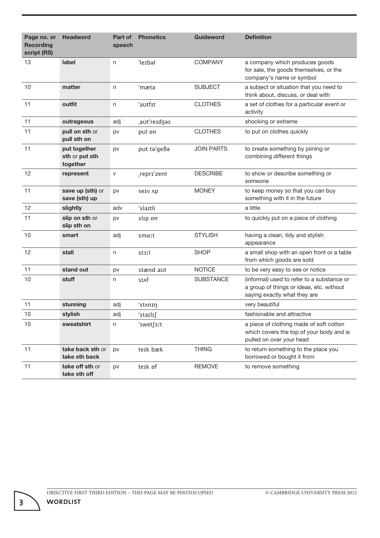| Page no. or<br><b>Recording</b><br>script (RS) | <b>Headword</b>                            | Part of<br>speech | <b>Phonetics</b> | <b>Guideword</b>  | <b>Definition</b>                                                                                                      |
|------------------------------------------------|--------------------------------------------|-------------------|------------------|-------------------|------------------------------------------------------------------------------------------------------------------------|
| 13                                             | label                                      | n                 | 'lerbal          | <b>COMPANY</b>    | a company which produces goods<br>for sale, the goods themselves, or the<br>company's name or symbol                   |
| 10                                             | matter                                     | n                 | 'mætə            | <b>SUBJECT</b>    | a subject or situation that you need to<br>think about, discuss, or deal with                                          |
| 11                                             | outfit                                     | n                 | 'autfit          | <b>CLOTHES</b>    | a set of clothes for a particular event or<br>activity                                                                 |
| 11                                             | outrageous                                 | adj               | aut'reidzas      |                   | shocking or extreme                                                                                                    |
| 11                                             | pull on sth or<br>pull sth on              | pv                | pol pn           | <b>CLOTHES</b>    | to put on clothes quickly                                                                                              |
| 11                                             | put together<br>sth or put sth<br>together | pv                | put ta'geda      | <b>JOIN PARTS</b> | to create something by joining or<br>combining different things                                                        |
| 12                                             | represent                                  | $\mathsf{V}$      | repri'zent       | <b>DESCRIBE</b>   | to show or describe something or<br>someone                                                                            |
| 11                                             | save up (sth) or<br>save (sth) up          | pv                | SeIV Ap          | <b>MONEY</b>      | to keep money so that you can buy<br>something with it in the future                                                   |
| 12                                             | slightly                                   | adv               | 'slaɪtli         |                   | a little                                                                                                               |
| 11                                             | slip on sth or<br>slip sth on              | pv                | slip on          |                   | to quickly put on a piece of clothing                                                                                  |
| 10                                             | smart                                      | adj               | smaːt            | <b>STYLISH</b>    | having a clean, tidy and stylish<br>appearance                                                                         |
| 12                                             | stall                                      | n                 | stoːl            | <b>SHOP</b>       | a small shop with an open front or a table<br>from which goods are sold                                                |
| 11                                             | stand out                                  | pv                | stænd aut        | <b>NOTICE</b>     | to be very easy to see or notice                                                                                       |
| 10                                             | stuff                                      | n                 | st∧f             | <b>SUBSTANCE</b>  | (informal) used to refer to a substance or<br>a group of things or ideas, etc. without<br>saying exactly what they are |
| 11                                             | stunning                                   | adj               | 'stʌnɪŋ          |                   | very beautiful                                                                                                         |
| 10                                             | stylish                                    | adj               | 'staɪlɪ∫         |                   | fashionable and attractive                                                                                             |
| 10                                             | sweatshirt                                 | n                 | 'swetf3ːt        |                   | a piece of clothing made of soft cotton<br>which covers the top of your body and is<br>pulled on over your head        |
| 11                                             | take back sth or<br>take sth back          | pv                | teik bæk         | <b>THING</b>      | to return something to the place you<br>borrowed or bought it from                                                     |
| 11                                             | take off sth or<br>take sth off            | pv                | teik pf          | <b>REMOVE</b>     | to remove something                                                                                                    |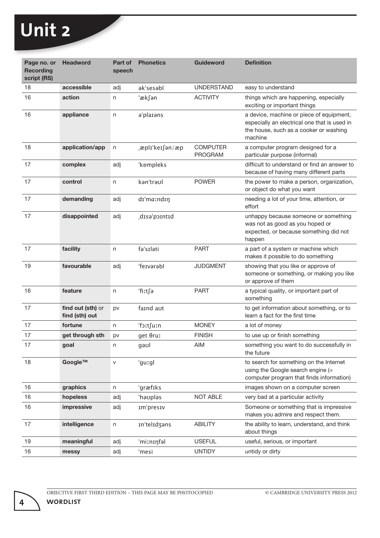| Page no. or<br><b>Recording</b><br>script (RS) | <b>Headword</b>                     | Part of<br>speech | <b>Phonetics</b> | <b>Guideword</b>                  | <b>Definition</b>                                                                                                                             |
|------------------------------------------------|-------------------------------------|-------------------|------------------|-----------------------------------|-----------------------------------------------------------------------------------------------------------------------------------------------|
| 18                                             | accessible                          | adj               | ak'sesabl        | <b>UNDERSTAND</b>                 | easy to understand                                                                                                                            |
| 16                                             | action                              | n                 | 'ækfan           | <b>ACTIVITY</b>                   | things which are happening, especially<br>exciting or important things                                                                        |
| 16                                             | appliance                           | n                 | a'plarans        |                                   | a device, machine or piece of equipment,<br>especially an electrical one that is used in<br>the house, such as a cooker or washing<br>machine |
| 18                                             | application/app                     | n                 | æplɪˈkeɪſən/æp   | <b>COMPUTER</b><br><b>PROGRAM</b> | a computer program designed for a<br>particular purpose (informal)                                                                            |
| 17                                             | complex                             | adj               | 'kpmpleks        |                                   | difficult to understand or find an answer to<br>because of having many different parts                                                        |
| 17                                             | control                             | n                 | kan'traul        | <b>POWFR</b>                      | the power to make a person, organization,<br>or object do what you want                                                                       |
| 17                                             | demanding                           | adj               | dı'ma:ndıŋ       |                                   | needing a lot of your time, attention, or<br>effort                                                                                           |
| 17                                             | disappointed                        | adj               | disə'pointid     |                                   | unhappy because someone or something<br>was not as good as you hoped or<br>expected, or because something did not<br>happen                   |
| 17                                             | facility                            | n                 | fə'sıləti        | <b>PART</b>                       | a part of a system or machine which<br>makes it possible to do something                                                                      |
| 19                                             | favourable                          | adj               | 'feɪvərəbl       | <b>JUDGMENT</b>                   | showing that you like or approve of<br>someone or something, or making you like<br>or approve of them                                         |
| 16                                             | feature                             | n                 | 'fiːt∫ə          | <b>PART</b>                       | a typical quality, or important part of<br>something                                                                                          |
| 17                                             | find out (sth) or<br>find (sth) out | pv                | faind aut        |                                   | to get information about something, or to<br>learn a fact for the first time                                                                  |
| 17                                             | fortune                             | n                 | 'fɔːt∫uːn        | <b>MONEY</b>                      | a lot of money                                                                                                                                |
| 17                                             | get through sth                     | pv                | get Oruː         | <b>FINISH</b>                     | to use up or finish something                                                                                                                 |
| 17                                             | goal                                | n                 | gəʊl             | <b>AIM</b>                        | something you want to do successfully in<br>the future                                                                                        |
| 18                                             | Google™                             | $\mathsf{V}$      | 'guːgl           |                                   | to search for something on the Internet<br>using the Google search engine (=<br>computer program that finds information)                      |
| 16                                             | graphics                            | n                 | 'græfiks         |                                   | images shown on a computer screen                                                                                                             |
| 16                                             | hopeless                            | adj               | 'hauplas         | <b>NOT ABLE</b>                   | very bad at a particular activity                                                                                                             |
| 16                                             | impressive                          | adj               | Im'presiv        |                                   | Someone or something that is impressive<br>makes you admire and respect them.                                                                 |
| 17                                             | intelligence                        | n                 | In'telIdzans     | <b>ABILITY</b>                    | the ability to learn, understand, and think<br>about things                                                                                   |
| 19                                             | meaningful                          | adj               | 'miːnɪŋfəl       | <b>USEFUL</b>                     | useful, serious, or important                                                                                                                 |
| 16                                             | messy                               | adj               | 'mesi            | <b>UNTIDY</b>                     | untidy or dirty                                                                                                                               |

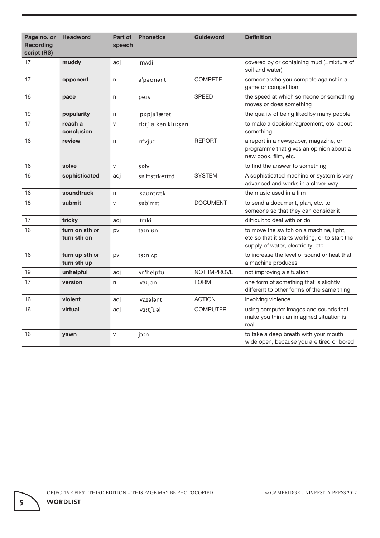| Page no. or<br><b>Recording</b><br>script (RS) | <b>Headword</b>               | Part of<br>speech | <b>Phonetics</b>       | <b>Guideword</b> | <b>Definition</b>                                                                                                               |
|------------------------------------------------|-------------------------------|-------------------|------------------------|------------------|---------------------------------------------------------------------------------------------------------------------------------|
| 17                                             | muddy                         | adj               | 'm∧di                  |                  | covered by or containing mud (=mixture of<br>soil and water)                                                                    |
| 17                                             | opponent                      | n                 | a'paunant              | <b>COMPETE</b>   | someone who you compete against in a<br>game or competition                                                                     |
| 16                                             | pace                          | n                 | pers                   | <b>SPEED</b>     | the speed at which someone or something<br>moves or does something                                                              |
| 19                                             | popularity                    | n                 | popjallærati           |                  | the quality of being liked by many people                                                                                       |
| 17                                             | reach a<br>conclusion         | $\mathsf{V}$      | riːt∫ ə kən'kluːʒən    |                  | to make a decision/agreement, etc. about<br>something                                                                           |
| 16                                             | review                        | n                 | rɪ'vjuː                | <b>REPORT</b>    | a report in a newspaper, magazine, or<br>programme that gives an opinion about a<br>new book, film, etc.                        |
| 16                                             | solve                         | ${\sf V}$         | sply                   |                  | to find the answer to something                                                                                                 |
| 16                                             | sophisticated                 | adj               | sa'fistikeitid         | <b>SYSTEM</b>    | A sophisticated machine or system is very<br>advanced and works in a clever way.                                                |
| 16                                             | soundtrack                    | n                 | 'sauntræk              |                  | the music used in a film                                                                                                        |
| 18                                             | submit                        | $\vee$            | səb'mɪt                | <b>DOCUMENT</b>  | to send a document, plan, etc. to<br>someone so that they can consider it                                                       |
| 17                                             | tricky                        | adj               | 'trɪki                 |                  | difficult to deal with or do                                                                                                    |
| 16                                             | turn on sth or<br>turn sth on | pv                | t3In pn                |                  | to move the switch on a machine, light,<br>etc so that it starts working, or to start the<br>supply of water, electricity, etc. |
| 16                                             | turn up sth or<br>turn sth up | pv                | t3In Ap                |                  | to increase the level of sound or heat that<br>a machine produces                                                               |
| 19                                             | unhelpful                     | adj               | An'helpful             | NOT IMPROVE      | not improving a situation                                                                                                       |
| 17                                             | version                       | n                 | 'v <sub>3</sub> :∫ən   | <b>FORM</b>      | one form of something that is slightly<br>different to other forms of the same thing                                            |
| 16                                             | violent                       | adj               | 'varalant              | <b>ACTION</b>    | involving violence                                                                                                              |
| 16                                             | virtual                       | adj               | 'v <sub>3</sub> :tsual | <b>COMPUTER</b>  | using computer images and sounds that<br>make you think an imagined situation is<br>real                                        |
| 16                                             | yawn                          | $\mathsf{V}$      | joːn                   |                  | to take a deep breath with your mouth<br>wide open, because you are tired or bored                                              |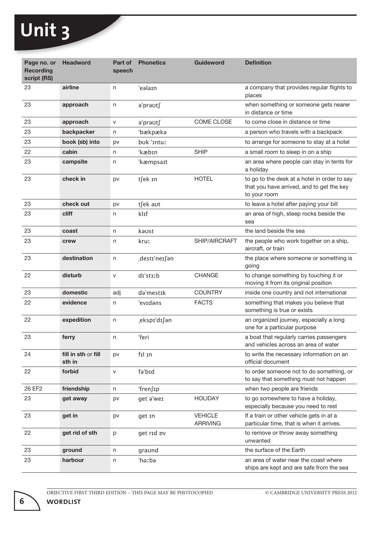a ka

| Page no. or<br><b>Recording</b><br>script (RS) | <b>Headword</b>               | Part of<br>speech | <b>Phonetics</b> | <b>Guideword</b>                  | <b>Definition</b>                                                                                         |
|------------------------------------------------|-------------------------------|-------------------|------------------|-----------------------------------|-----------------------------------------------------------------------------------------------------------|
| 23                                             | airline                       | n                 | 'eəlain          |                                   | a company that provides regular flights to<br>places                                                      |
| 23                                             | approach                      | n                 | ə'prəʊt∫         |                                   | when something or someone gets nearer<br>in distance or time                                              |
| 23                                             | approach                      | $\mathsf{V}$      | a'praʊtʃ         | COME CLOSE                        | to come close in distance or time                                                                         |
| 23                                             | backpacker                    | n                 | 'bækpæka         |                                   | a person who travels with a backpack                                                                      |
| 23                                             | book (sb) into                | pv                | bok 'intuː       |                                   | to arrange for someone to stay at a hotel                                                                 |
| 22                                             | cabin                         | n                 | 'kæbin           | <b>SHIP</b>                       | a small room to sleep in on a ship                                                                        |
| 23                                             | campsite                      | n                 | 'kæmpsaɪt        |                                   | an area where people can stay in tents for<br>a holiday                                                   |
| 23                                             | check in                      | pv                | t∫ek In          | <b>HOTEL</b>                      | to go to the desk at a hotel in order to say<br>that you have arrived, and to get the key<br>to your room |
| 23                                             | check out                     | pv                | t∫ek aʊt         |                                   | to leave a hotel after paying your bill                                                                   |
| 23                                             | cliff                         | n                 | klɪf             |                                   | an area of high, steep rocks beside the<br>sea                                                            |
| 23                                             | coast                         | n                 | kaust            |                                   | the land beside the sea                                                                                   |
| 23                                             | crew                          | n                 | kruː             | SHIP/AIRCRAFT                     | the people who work together on a ship,<br>aircraft, or train                                             |
| 23                                             | destination                   | n                 | destɪ'neɪ∫ən     |                                   | the place where someone or something is<br>going                                                          |
| 22                                             | disturb                       | V                 | dr'st3ːb         | <b>CHANGE</b>                     | to change something by touching it or<br>moving it from its original position                             |
| 23                                             | domestic                      | adj               | da'mestik        | <b>COUNTRY</b>                    | inside one country and not international                                                                  |
| 22                                             | evidence                      | n                 | 'evidans         | <b>FACTS</b>                      | something that makes you believe that<br>something is true or exists                                      |
| 22                                             | expedition                    | n                 | eksp1'd1∫an      |                                   | an organized journey, especially a long<br>one for a particular purpose                                   |
| 23                                             | ferry                         | n                 | 'feri            |                                   | a boat that regularly carries passengers<br>and vehicles across an area of water                          |
| 24                                             | fill in sth or fill<br>sth in | pv                | fil in           |                                   | to write the necessary information on an<br>official document                                             |
| 22                                             | forbid                        | V                 | fə'bɪd           |                                   | to order someone not to do something, or<br>to say that something must not happen                         |
| 26 EF2                                         | friendship                    | n                 | 'fren∫1p         |                                   | when two people are friends                                                                               |
| 23                                             | get away                      | pv                | get a'wer        | <b>HOLIDAY</b>                    | to go somewhere to have a holiday,<br>especially because you need to rest                                 |
| 23                                             | get in                        | pv                | get In           | <b>VEHICLE</b><br><b>ARRIVING</b> | If a train or other vehicle gets in at a<br>particular time, that is when it arrives.                     |
| 22                                             | get rid of sth                | p                 | get rid pv       |                                   | to remove or throw away something<br>unwanted                                                             |
| 23                                             | ground                        | n                 | graund           |                                   | the surface of the Earth                                                                                  |
| 23                                             | harbour                       | n                 | 'haːbə           |                                   | an area of water near the coast where<br>ships are kept and are safe from the sea                         |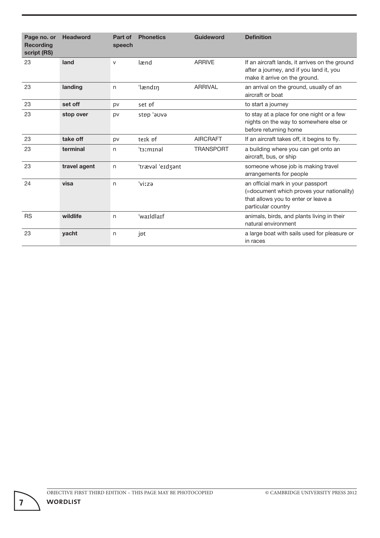| Page no. or<br><b>Recording</b><br>script (RS) | <b>Headword</b> | Part of<br>speech | <b>Phonetics</b> | Guideword        | <b>Definition</b>                                                                                                                           |
|------------------------------------------------|-----------------|-------------------|------------------|------------------|---------------------------------------------------------------------------------------------------------------------------------------------|
| 23                                             | land            | $\vee$            | lænd             | <b>ARRIVE</b>    | If an aircraft lands, it arrives on the ground<br>after a journey, and if you land it, you<br>make it arrive on the ground.                 |
| 23                                             | landing         | n                 | 'lændɪŋ          | <b>ARRIVAL</b>   | an arrival on the ground, usually of an<br>aircraft or boat                                                                                 |
| 23                                             | set off         | pv                | set pf           |                  | to start a journey                                                                                                                          |
| 23                                             | stop over       | pv                | evue' quts       |                  | to stay at a place for one night or a few<br>nights on the way to somewhere else or<br>before returning home                                |
| 23                                             | take off        | pv                | teik pf          | <b>AIRCRAFT</b>  | If an aircraft takes off, it begins to fly.                                                                                                 |
| 23                                             | terminal        | n                 | 't3ːmɪnəl        | <b>TRANSPORT</b> | a building where you can get onto an<br>aircraft, bus, or ship                                                                              |
| 23                                             | travel agent    | n                 | 'træval 'eɪdʒant |                  | someone whose job is making travel<br>arrangements for people                                                                               |
| 24                                             | visa            | n                 | 'viːzə           |                  | an official mark in your passport<br>(=document which proves your nationality)<br>that allows you to enter or leave a<br>particular country |
| <b>RS</b>                                      | wildlife        | n                 | 'waɪldlaɪf       |                  | animals, birds, and plants living in their<br>natural environment                                                                           |
| 23                                             | yacht           | n                 | jpt              |                  | a large boat with sails used for pleasure or<br>in races                                                                                    |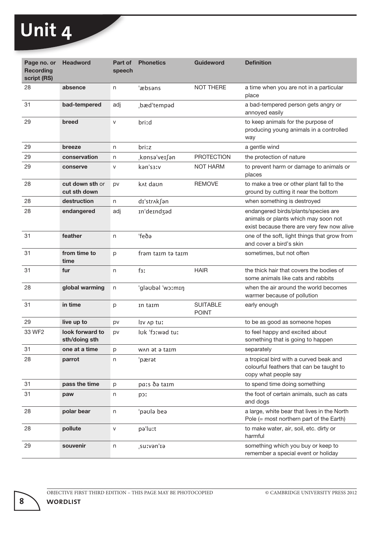a ka

| Page no. or<br><b>Recording</b><br>script (RS) | <b>Headword</b>                  | Part of<br>speech | <b>Phonetics</b>     | <b>Guideword</b>                | <b>Definition</b>                                                                                                         |
|------------------------------------------------|----------------------------------|-------------------|----------------------|---------------------------------|---------------------------------------------------------------------------------------------------------------------------|
| 28                                             | absence                          | n                 | 'æbsəns              | <b>NOT THERE</b>                | a time when you are not in a particular<br>place                                                                          |
| 31                                             | bad-tempered                     | adj               | bæd'tempad           |                                 | a bad-tempered person gets angry or<br>annoyed easily                                                                     |
| 29                                             | breed                            | $\mathsf{V}$      | briːd                |                                 | to keep animals for the purpose of<br>producing young animals in a controlled<br>way                                      |
| 29                                             | breeze                           | n                 | briːz                |                                 | a gentle wind                                                                                                             |
| 29                                             | conservation                     | n                 | kpnsə'veɪ∫ən,        | <b>PROTECTION</b>               | the protection of nature                                                                                                  |
| 29                                             | conserve                         | v                 | kan's3Iv             | <b>NOT HARM</b>                 | to prevent harm or damage to animals or<br>places                                                                         |
| 28                                             | cut down sth or<br>cut sth down  | pv                | k <sub>At</sub> daun | <b>REMOVE</b>                   | to make a tree or other plant fall to the<br>ground by cutting it near the bottom                                         |
| 28                                             | destruction                      | n                 | dɪ'strʌk∫ən          |                                 | when something is destroyed                                                                                               |
| 28                                             | endangered                       | adj               | In'deindzad          |                                 | endangered birds/plants/species are<br>animals or plants which may soon not<br>exist because there are very few now alive |
| 31                                             | feather                          | n                 | 'feðə                |                                 | one of the soft, light things that grow from<br>and cover a bird's skin                                                   |
| 31                                             | from time to<br>time             | p                 | fram taim ta taim    |                                 | sometimes, but not often                                                                                                  |
| 31                                             | fur                              | n                 | f <sub>3</sub> x     | <b>HAIR</b>                     | the thick hair that covers the bodies of<br>some animals like cats and rabbits                                            |
| 28                                             | global warming                   | n                 | ntm:cw' ledoelg'     |                                 | when the air around the world becomes<br>warmer because of pollution                                                      |
| 31                                             | in time                          | p                 | In taim              | <b>SUITABLE</b><br><b>POINT</b> | early enough                                                                                                              |
| 29                                             | live up to                       | pv                | IIV Ap tuː           |                                 | to be as good as someone hopes                                                                                            |
| 33 WF2                                         | look forward to<br>sth/doing sth | pv                | luk 'foːwəd tuː      |                                 | to feel happy and excited about<br>something that is going to happen                                                      |
| 31                                             | one at a time                    | p                 | WAN at a taim        |                                 | separately                                                                                                                |
| 28                                             | parrot                           | n                 | 'pærət               |                                 | a tropical bird with a curved beak and<br>colourful feathers that can be taught to<br>copy what people say                |
| 31                                             | pass the time                    | p                 | pais de taim         |                                 | to spend time doing something                                                                                             |
| 31                                             | paw                              | n                 | <b>p</b> or          |                                 | the foot of certain animals, such as cats<br>and dogs                                                                     |
| 28                                             | polar bear                       | n                 | esd elueq'           |                                 | a large, white bear that lives in the North<br>Pole (= most northern part of the Earth)                                   |
| 28                                             | pollute                          | v                 | pa'luːt              |                                 | to make water, air, soil, etc. dirty or<br>harmful                                                                        |
| 29                                             | souvenir                         | n                 | suːvənˈɪə            |                                 | something which you buy or keep to<br>remember a special event or holiday                                                 |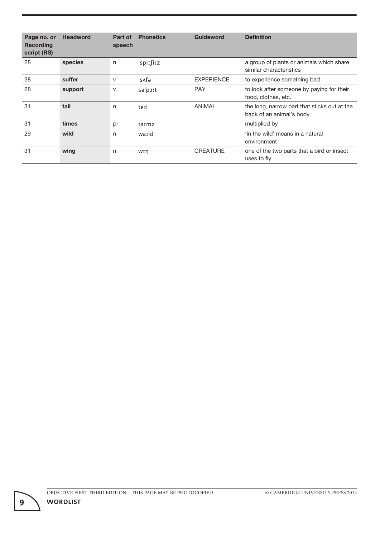| Page no. or<br><b>Recording</b><br>script (RS) | <b>Headword</b> | Part of<br>speech | <b>Phonetics</b> | <b>Guideword</b>  | <b>Definition</b>                                                        |
|------------------------------------------------|-----------------|-------------------|------------------|-------------------|--------------------------------------------------------------------------|
| 28                                             | species         | n                 | 'spirfixz        |                   | a group of plants or animals which share<br>similar characteristics      |
| 28                                             | suffer          | V                 | 'sʌfə            | <b>EXPERIENCE</b> | to experience something bad                                              |
| 28                                             | support         | $\vee$            | sə'poːt          | <b>PAY</b>        | to look after someone by paying for their<br>food, clothes, etc.         |
| 31                                             | tail            | n                 | terl             | ANIMAL            | the long, narrow part that sticks out at the<br>back of an animal's body |
| 31                                             | times           | pr                | taimz            |                   | multiplied by                                                            |
| 29                                             | wild            | n                 | warld            |                   | 'in the wild' means in a natural<br>environment                          |
| 31                                             | wing            | n                 | wτη              | <b>CREATURE</b>   | one of the two parts that a bird or insect<br>uses to fly                |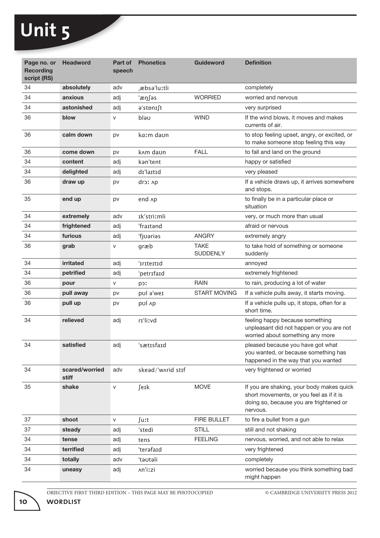т.

| Page no. or<br><b>Recording</b><br>script (RS) | <b>Headword</b>         | Part of<br>speech | <b>Phonetics</b>      | <b>Guideword</b>               | <b>Definition</b>                                                                                                                            |
|------------------------------------------------|-------------------------|-------------------|-----------------------|--------------------------------|----------------------------------------------------------------------------------------------------------------------------------------------|
| 34                                             | absolutely              | adv               | æbsə'luːtli           |                                | completely                                                                                                                                   |
| 34                                             | anxious                 | adj               | 'æŋ∫əs                | <b>WORRIED</b>                 | worried and nervous                                                                                                                          |
| 34                                             | astonished              | adj               | a'stpnɪ∫t             |                                | very surprised                                                                                                                               |
| 36                                             | blow                    | V                 | σeld                  | <b>WIND</b>                    | If the wind blows, it moves and makes<br>currents of air.                                                                                    |
| 36                                             | calm down               | pv                | kaːm daʊn             |                                | to stop feeling upset, angry, or excited, or<br>to make someone stop feeling this way                                                        |
| 36                                             | come down               | pv                | k <sub>A</sub> m daon | <b>FALL</b>                    | to fall and land on the ground                                                                                                               |
| 34                                             | content                 | adj               | kan'tent              |                                | happy or satisfied                                                                                                                           |
| 34                                             | delighted               | adj               | dɪ'laɪtɪd             |                                | very pleased                                                                                                                                 |
| 36                                             | draw up                 | pv                | dro: Ap               |                                | If a vehicle draws up, it arrives somewhere<br>and stops.                                                                                    |
| 35                                             | end up                  | pv                | end Ap                |                                | to finally be in a particular place or<br>situation                                                                                          |
| 34                                             | extremely               | adv               | Ik'striːmli           |                                | very, or much more than usual                                                                                                                |
| 34                                             | frightened              | adj               | 'fraɪtənd             |                                | afraid or nervous                                                                                                                            |
| 34                                             | furious                 | adj               | 'fjʊəriəs             | <b>ANGRY</b>                   | extremely angry                                                                                                                              |
| 36                                             | grab                    | V                 | græb                  | <b>TAKE</b><br><b>SUDDENLY</b> | to take hold of something or someone<br>suddenly                                                                                             |
| 34                                             | irritated               | adj               | 'iriteitid            |                                | annoyed                                                                                                                                      |
| 34                                             | petrified               | adj               | 'petrifaid            |                                | extremely frightened                                                                                                                         |
| 36                                             | pour                    | V                 | Icq                   | <b>RAIN</b>                    | to rain, producing a lot of water                                                                                                            |
| 36                                             | pull away               | pv                | pul a'wer             | <b>START MOVING</b>            | If a vehicle pulls away, it starts moving.                                                                                                   |
| 36                                             | pull up                 | pv                | pul Ap                |                                | If a vehicle pulls up, it stops, often for a<br>short time.                                                                                  |
| 34                                             | relieved                | adj               | rɪ'liːvd              |                                | feeling happy because something<br>unpleasant did not happen or you are not<br>worried about something any more                              |
| 34                                             | satisfied               | adj               | sætisfaid             |                                | pleased because you have got what<br>you wanted, or because something has<br>happened in the way that you wanted                             |
| 34                                             | scared/worried<br>stiff | adv               | skead/'wʌrid stɪf     |                                | very frightened or worried                                                                                                                   |
| 35                                             | shake                   | V                 | ∫eɪk                  | <b>MOVE</b>                    | If you are shaking, your body makes quick<br>short movements, or you feel as if it is<br>doing so, because you are frightened or<br>nervous. |
| 37                                             | shoot                   | ${\sf V}$         | ∫uːt                  | FIRE BULLET                    | to fire a bullet from a gun                                                                                                                  |
| 37                                             | steady                  | adj               | 'stedi                | <b>STILL</b>                   | still and not shaking                                                                                                                        |
| 34                                             | tense                   | adj               | tens                  | <b>FEELING</b>                 | nervous, worried, and not able to relax                                                                                                      |
| 34                                             | terrified               | adj               | 'terafaid             |                                | very frightened                                                                                                                              |
| 34                                             | totally                 | adv               | 'təʊtəli              |                                | completely                                                                                                                                   |
| 34                                             | uneasy                  | adj               | An'izzi               |                                | worried because you think something bad<br>might happen                                                                                      |

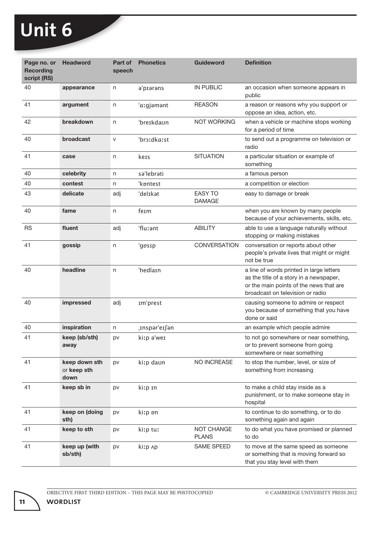$\mathcal{L}$ 

| Page no. or<br><b>Recording</b><br>script (RS) | <b>Headword</b>                      | Part of<br>speech | <b>Phonetics</b> | <b>Guideword</b>                | <b>Definition</b>                                                                                                                                                  |
|------------------------------------------------|--------------------------------------|-------------------|------------------|---------------------------------|--------------------------------------------------------------------------------------------------------------------------------------------------------------------|
| 40                                             | appearance                           | n                 | a'prarans        | <b>IN PUBLIC</b>                | an occasion when someone appears in<br>public                                                                                                                      |
| 41                                             | argument                             | n                 | 'aːgjəmənt       | <b>REASON</b>                   | a reason or reasons why you support or<br>oppose an idea, action, etc.                                                                                             |
| 42                                             | breakdown                            | n                 | 'breɪkdaʊn       | <b>NOT WORKING</b>              | when a vehicle or machine stops working<br>for a period of time                                                                                                    |
| 40                                             | broadcast                            | $\mathsf{V}$      | 'broːdkaːst      |                                 | to send out a programme on television or<br>radio                                                                                                                  |
| 41                                             | case                                 | n                 | kers             | <b>SITUATION</b>                | a particular situation or example of<br>something                                                                                                                  |
| 40                                             | celebrity                            | n                 | sa'lebrati       |                                 | a famous person                                                                                                                                                    |
| 40                                             | contest                              | n                 | 'kpntest         |                                 | a competition or election                                                                                                                                          |
| 43                                             | delicate                             | adj               | 'delikat         | <b>EASY TO</b><br><b>DAMAGE</b> | easy to damage or break                                                                                                                                            |
| 40                                             | fame                                 | n                 | ferm             |                                 | when you are known by many people<br>because of your achievements, skills, etc.                                                                                    |
| <b>RS</b>                                      | fluent                               | adj               | 'fluːənt         | <b>ABILITY</b>                  | able to use a language naturally without<br>stopping or making mistakes                                                                                            |
| 41                                             | gossip                               | n                 | 'gpsɪp           | CONVERSATION                    | conversation or reports about other<br>people's private lives that might or might<br>not be true                                                                   |
| 40                                             | headline                             | n                 | 'hedlaIn         |                                 | a line of words printed in large letters<br>as the title of a story in a newspaper,<br>or the main points of the news that are<br>broadcast on television or radio |
| 40                                             | impressed                            | adj               | im'prest         |                                 | causing someone to admire or respect<br>you because of something that you have<br>done or said                                                                     |
| 40                                             | inspiration                          | n                 | ,Inspar'eI∫an    |                                 | an example which people admire                                                                                                                                     |
| 41                                             | keep (sb/sth)<br>away                | pv                | kiːp ə'weɪ       |                                 | to not go somewhere or near something,<br>or to prevent someone from going<br>somewhere or near something                                                          |
| 41                                             | keep down sth<br>or keep sth<br>down | pv                | kiːp daʊn        | NO INCREASE                     | to stop the number, level, or size of<br>something from increasing                                                                                                 |
| 41                                             | keep sb in                           | pv                | kitp In          |                                 | to make a child stay inside as a<br>punishment, or to make someone stay in<br>hospital                                                                             |
| 41                                             | keep on (doing<br>sth)               | pv                | kitp on          |                                 | to continue to do something, or to do<br>something again and again                                                                                                 |
| 41                                             | keep to sth                          | pv                | kiːp tuː         | NOT CHANGE<br><b>PLANS</b>      | to do what you have promised or planned<br>to do                                                                                                                   |
| 41                                             | keep up (with<br>sb/sth)             | pv                | kiːp ʌp          | SAME SPEED                      | to move at the same speed as someone<br>or something that is moving forward so<br>that you stay level with them                                                    |

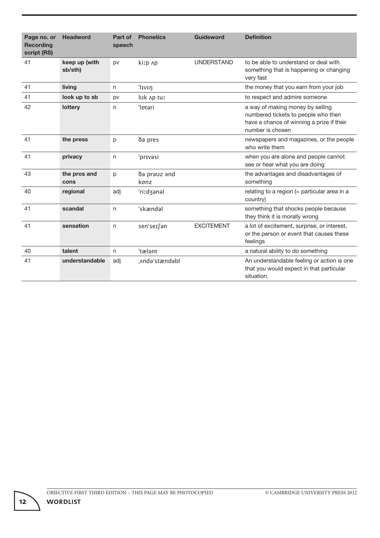| Page no. or<br><b>Recording</b><br>script (RS) | <b>Headword</b>          | Part of<br>speech | <b>Phonetics</b>     | <b>Guideword</b>  | <b>Definition</b>                                                                                                                        |
|------------------------------------------------|--------------------------|-------------------|----------------------|-------------------|------------------------------------------------------------------------------------------------------------------------------------------|
| 41                                             | keep up (with<br>sb/sth) | pv                | kitp Ap              | <b>UNDERSTAND</b> | to be able to understand or deal with<br>something that is happening or changing<br>very fast                                            |
| 41                                             | living                   | n                 | 'Ivin                |                   | the money that you earn from your job                                                                                                    |
| 41                                             | look up to sb            | pv                | luk Ap tuː           |                   | to respect and admire someone                                                                                                            |
| 42                                             | lottery                  | n                 | 'Iptari              |                   | a way of making money by selling<br>numbered tickets to people who then<br>have a chance of winning a prize if their<br>number is chosen |
| 41                                             | the press                | p                 | də pres              |                   | newspapers and magazines, or the people<br>who write them                                                                                |
| 41                                             | privacy                  | n                 | 'prɪvəsi             |                   | when you are alone and people cannot<br>see or hear what you are doing                                                                   |
| 43                                             | the pros and<br>cons     | p                 | də prəvz ənd<br>kpnz |                   | the advantages and disadvantages of<br>something                                                                                         |
| 40                                             | regional                 | adj               | ri:dzanal            |                   | relating to a region (= particular area in a<br>country)                                                                                 |
| 41                                             | scandal                  | n                 | 'skændal             |                   | something that shocks people because<br>they think it is morally wrong                                                                   |
| 41                                             | sensation                | n                 | sen'seɪ∫ən           | <b>EXCITEMENT</b> | a lot of excitement, surprise, or interest,<br>or the person or event that causes these<br>feelings                                      |
| 40                                             | talent                   | n                 | 'tælant              |                   | a natural ability to do something                                                                                                        |
| 41                                             | understandable           | adj               | Anda'stændabl        |                   | An understandable feeling or action is one<br>that you would expect in that particular<br>situation.                                     |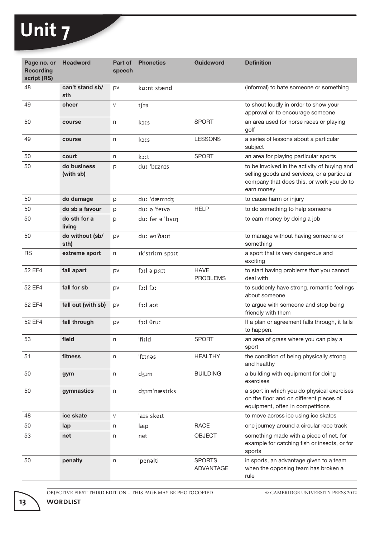$\mathcal{L}$ 

| Page no. or<br><b>Recording</b><br>script (RS) | <b>Headword</b>          | Part of<br>speech | <b>Phonetics</b> | <b>Guideword</b>               | <b>Definition</b>                                                                                                                                      |
|------------------------------------------------|--------------------------|-------------------|------------------|--------------------------------|--------------------------------------------------------------------------------------------------------------------------------------------------------|
| 48                                             | can't stand sb/<br>sth   | pv                | kaːnt stænd      |                                | (informal) to hate someone or something                                                                                                                |
| 49                                             | cheer                    | $\mathsf{V}$      | t∫Iə             |                                | to shout loudly in order to show your<br>approval or to encourage someone                                                                              |
| 50                                             | course                   | n                 | kots             | <b>SPORT</b>                   | an area used for horse races or playing<br>golf                                                                                                        |
| 49                                             | course                   | n                 | kors             | <b>LESSONS</b>                 | a series of lessons about a particular<br>subject                                                                                                      |
| 50                                             | court                    | n                 | koːt             | <b>SPORT</b>                   | an area for playing particular sports                                                                                                                  |
| 50                                             | do business<br>(with sb) | p                 | duː 'bɪznɪs      |                                | to be involved in the activity of buying and<br>selling goods and services, or a particular<br>company that does this, or work you do to<br>earn money |
| 50                                             | do damage                | p                 | duː 'dæmɪdʒ      |                                | to cause harm or injury                                                                                                                                |
| 50                                             | do sb a favour           | р                 | duː ə 'feɪvə     | <b>HELP</b>                    | to do something to help someone                                                                                                                        |
| 50                                             | do sth for a<br>living   | p                 | duː fər ə 'lɪvɪŋ |                                | to earn money by doing a job                                                                                                                           |
| 50                                             | do without (sb/<br>sth)  | pv                | duː wɪ'ðaʊt      |                                | to manage without having someone or<br>something                                                                                                       |
| <b>RS</b>                                      | extreme sport            | n                 | Ik'stri:m spo:t  |                                | a sport that is very dangerous and<br>exciting                                                                                                         |
| 52 EF4                                         | fall apart               | pv                | foil a'pait      | <b>HAVE</b><br><b>PROBLEMS</b> | to start having problems that you cannot<br>deal with                                                                                                  |
| 52 EF4                                         | fall for sb              | pv                | Ict lict         |                                | to suddenly have strong, romantic feelings<br>about someone                                                                                            |
| 52 EF4                                         | fall out (with sb)       | pv                | foːl aʊt         |                                | to argue with someone and stop being<br>friendly with them                                                                                             |
| 52 EF4                                         | fall through             | pv                | foːl θruː        |                                | If a plan or agreement falls through, it fails<br>to happen.                                                                                           |
| 53                                             | field                    | n                 | 'fiːld           | <b>SPORT</b>                   | an area of grass where you can play a<br>sport                                                                                                         |
| 51                                             | fitness                  | n                 | 'fɪtnəs          | <b>HEALTHY</b>                 | the condition of being physically strong<br>and healthy                                                                                                |
| 50                                             | gym                      | n                 | dzim             | <b>BUILDING</b>                | a building with equipment for doing<br>exercises                                                                                                       |
| 50                                             | gymnastics               | n                 | dzim'næstiks     |                                | a sport in which you do physical exercises<br>on the floor and on different pieces of<br>equipment, often in competitions                              |
| 48                                             | ice skate                | $\mathsf{V}$      | 'ais skeit       |                                | to move across ice using ice skates                                                                                                                    |
| 50                                             | lap                      | n                 | læp              | <b>RACE</b>                    | one journey around a circular race track                                                                                                               |
| 53                                             | net                      | n                 | net              | <b>OBJECT</b>                  | something made with a piece of net, for<br>example for catching fish or insects, or for<br>sports                                                      |
| 50                                             | penalty                  | n                 | 'penalti         | <b>SPORTS</b><br>ADVANTAGE     | in sports, an advantage given to a team<br>when the opposing team has broken a<br>rule                                                                 |

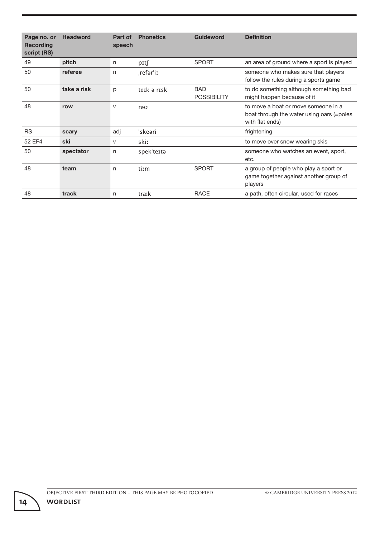| Page no. or<br><b>Recording</b><br>script (RS) | <b>Headword</b> | Part of<br>speech | <b>Phonetics</b> | <b>Guideword</b>                 | <b>Definition</b>                                                                                   |
|------------------------------------------------|-----------------|-------------------|------------------|----------------------------------|-----------------------------------------------------------------------------------------------------|
| 49                                             | pitch           | n                 | pɪt∫             | <b>SPORT</b>                     | an area of ground where a sport is played                                                           |
| 50                                             | referee         | n                 | refar'iː         |                                  | someone who makes sure that players<br>follow the rules during a sports game                        |
| 50                                             | take a risk     | p                 | teik ə risk      | <b>BAD</b><br><b>POSSIBILITY</b> | to do something although something bad<br>might happen because of it                                |
| 48                                             | row             | $\vee$            | rəʊ              |                                  | to move a boat or move someone in a<br>boat through the water using oars (=poles<br>with flat ends) |
| <b>RS</b>                                      | scary           | adj               | 'skeəri          |                                  | frightening                                                                                         |
| 52 EF4                                         | ski             | V                 | skiː             |                                  | to move over snow wearing skis                                                                      |
| 50                                             | spectator       | n                 | spek'teɪtə       |                                  | someone who watches an event, sport,<br>etc.                                                        |
| 48                                             | team            | n                 | tiːm             | <b>SPORT</b>                     | a group of people who play a sport or<br>game together against another group of<br>players          |
| 48                                             | track           | n                 | træk             | <b>RACE</b>                      | a path, often circular, used for races                                                              |

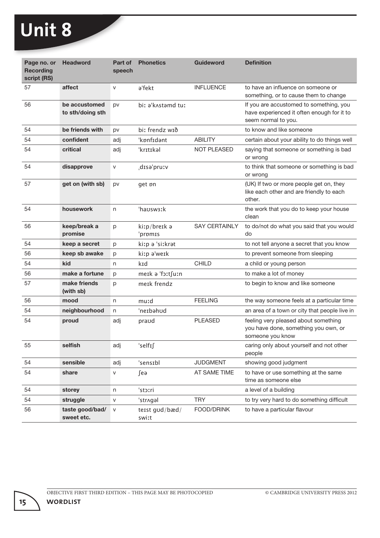| Page no. or<br><b>Recording</b><br>script (RS) | <b>Headword</b>                   | Part of<br>speech | <b>Phonetics</b>        | <b>Guideword</b>     | <b>Definition</b>                                                                                            |
|------------------------------------------------|-----------------------------------|-------------------|-------------------------|----------------------|--------------------------------------------------------------------------------------------------------------|
| 57                                             | affect                            | $\mathsf{V}$      | a'fekt                  | <b>INFLUENCE</b>     | to have an influence on someone or<br>something, or to cause them to change                                  |
| 56                                             | be accustomed<br>to sth/doing sth | pv                | biː ə'kʌstəmd tuː       |                      | If you are accustomed to something, you<br>have experienced it often enough for it to<br>seem normal to you. |
| 54                                             | be friends with                   | pv                | biː frendz wīð          |                      | to know and like someone                                                                                     |
| 54                                             | confident                         | adj               | 'kønfɪdənt              | <b>ABILITY</b>       | certain about your ability to do things well                                                                 |
| 54                                             | critical                          | adj               | 'krɪtɪkəl               | <b>NOT PLEASED</b>   | saying that someone or something is bad<br>or wrong                                                          |
| 54                                             | disapprove                        | ${\sf V}$         | disə'pruːv              |                      | to think that someone or something is bad<br>or wrong                                                        |
| 57                                             | get on (with sb)                  | pv                | get <i>on</i>           |                      | (UK) If two or more people get on, they<br>like each other and are friendly to each<br>other.                |
| 54                                             | housework                         | n                 | 'hausw3ːk               |                      | the work that you do to keep your house<br>clean                                                             |
| 56                                             | keep/break a<br>promise           | p                 | kiːp/breɪk ə<br>'prpm1s | <b>SAY CERTAINLY</b> | to do/not do what you said that you would<br>do                                                              |
| 54                                             | keep a secret                     | p                 | kiːp ə 'siːkrət         |                      | to not tell anyone a secret that you know                                                                    |
| 56                                             | keep sb awake                     | p                 | kiːp ə'weɪk             |                      | to prevent someone from sleeping                                                                             |
| 54                                             | kid                               | n                 | kid                     | <b>CHILD</b>         | a child or young person                                                                                      |
| 56                                             | make a fortune                    | p                 | meik a 'foːtʃuːn        |                      | to make a lot of money                                                                                       |
| 57                                             | make friends<br>(with sb)         | p                 | merk frendz             |                      | to begin to know and like someone                                                                            |
| 56                                             | mood                              | n                 | muːd                    | <b>FEELING</b>       | the way someone feels at a particular time                                                                   |
| 54                                             | neighbourhood                     | n                 | 'neɪbəhʊd               |                      | an area of a town or city that people live in                                                                |
| 54                                             | proud                             | adj               | praod                   | <b>PLEASED</b>       | feeling very pleased about something<br>you have done, something you own, or<br>someone you know             |
| 55                                             | selfish                           | adj               | 'selfIf                 |                      | caring only about yourself and not other<br>people                                                           |
| 54                                             | sensible                          | adj               | 'sensibl                | <b>JUDGMENT</b>      | showing good judgment                                                                                        |
| 54                                             | share                             | V                 | ∫eə                     | AT SAME TIME         | to have or use something at the same<br>time as someone else                                                 |
| 54                                             | storey                            | n                 | stoːri                  |                      | a level of a building                                                                                        |
| 54                                             | struggle                          | V                 | 'str^gal                | <b>TRY</b>           | to try very hard to do something difficult                                                                   |
| 56                                             | taste good/bad/<br>sweet etc.     | $\mathsf{V}$      | terst god/bæd/<br>swiːt | FOOD/DRINK           | to have a particular flavour                                                                                 |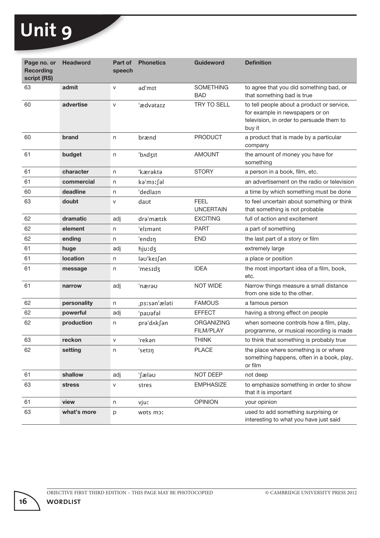| Page no. or<br><b>Recording</b><br>script (RS) | <b>Headword</b> | Part of<br>speech | <b>Phonetics</b> | <b>Guideword</b>                      | <b>Definition</b>                                                                                                                   |
|------------------------------------------------|-----------------|-------------------|------------------|---------------------------------------|-------------------------------------------------------------------------------------------------------------------------------------|
| 63                                             | admit           | V                 | ad'mɪt           | <b>SOMETHING</b><br><b>BAD</b>        | to agree that you did something bad, or<br>that something bad is true                                                               |
| 60                                             | advertise       | $\mathsf{V}$      | 'ædvətaɪz        | TRY TO SELL                           | to tell people about a product or service,<br>for example in newspapers or on<br>television, in order to persuade them to<br>buy it |
| 60                                             | brand           | n                 | brænd            | <b>PRODUCT</b>                        | a product that is made by a particular<br>company                                                                                   |
| 61                                             | budget          | n                 | b^d3It           | <b>AMOUNT</b>                         | the amount of money you have for<br>something                                                                                       |
| 61                                             | character       | n                 | 'kærakta         | <b>STORY</b>                          | a person in a book, film, etc.                                                                                                      |
| 61                                             | commercial      | n                 | ka'm3ː fal       |                                       | an advertisement on the radio or television                                                                                         |
| 60                                             | deadline        | n                 | 'dedlain         |                                       | a time by which something must be done                                                                                              |
| 63                                             | doubt           | V                 | daut             | <b>FEEL</b><br><b>UNCERTAIN</b>       | to feel uncertain about something or think<br>that something is not probable                                                        |
| 62                                             | dramatic        | adj               | dra'mætɪk        | <b>EXCITING</b>                       | full of action and excitement                                                                                                       |
| 62                                             | element         | n                 | 'elɪmənt         | <b>PART</b>                           | a part of something                                                                                                                 |
| 62                                             | ending          | n                 | 'endin           | <b>END</b>                            | the last part of a story or film                                                                                                    |
| 61                                             | huge            | adj               | hjuːdʒ           |                                       | extremely large                                                                                                                     |
| 61                                             | <b>location</b> | n                 | laʊ'keɪ∫ən       |                                       | a place or position                                                                                                                 |
| 61                                             | message         | n                 | 'mesɪdʒ          | <b>IDEA</b>                           | the most important idea of a film, book,<br>etc.                                                                                    |
| 61                                             | narrow          | adj               | 'nærəʊ           | <b>NOT WIDE</b>                       | Narrow things measure a small distance<br>from one side to the other.                                                               |
| 62                                             | personality     | n                 | p31san'ælati     | <b>FAMOUS</b>                         | a famous person                                                                                                                     |
| 62                                             | powerful        | adj               | 'pavafal         | <b>EFFECT</b>                         | having a strong effect on people                                                                                                    |
| 62                                             | production      | n                 | prə'd∧k∫ən       | <b>ORGANIZING</b><br><b>FILM/PLAY</b> | when someone controls how a film, play,<br>programme, or musical recording is made                                                  |
| 63                                             | reckon          | $\mathsf{V}$      | 'rekən           | <b>THINK</b>                          | to think that something is probably true                                                                                            |
| 62                                             | setting         | n                 | 'setIŋ           | <b>PLACE</b>                          | the place where something is or where<br>something happens, often in a book, play,<br>or film                                       |
| 61                                             | shallow         | adj               | '∫æləʊ           | NOT DEEP                              | not deep                                                                                                                            |
| 63                                             | stress          | V                 | stres            | <b>EMPHASIZE</b>                      | to emphasize something in order to show<br>that it is important                                                                     |
| 61                                             | view            | n                 | vjuː             | <b>OPINION</b>                        | your opinion                                                                                                                        |
| 63                                             | what's more     | p                 | WDts mor         |                                       | used to add something surprising or<br>interesting to what you have just said                                                       |

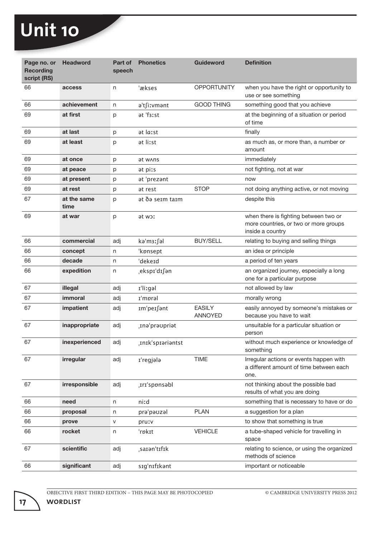| Page no. or<br><b>Recording</b><br>script (RS) | <b>Headword</b>     | Part of<br>speech | <b>Phonetics</b>  | <b>Guideword</b>                | <b>Definition</b>                                                                                  |
|------------------------------------------------|---------------------|-------------------|-------------------|---------------------------------|----------------------------------------------------------------------------------------------------|
| 66                                             | access              | n                 | 'ækses            | <b>OPPORTUNITY</b>              | when you have the right or opportunity to<br>use or see something                                  |
| 66                                             | achievement         | n                 | ə't∫iːvmənt       | <b>GOOD THING</b>               | something good that you achieve                                                                    |
| 69                                             | at first            | р                 | at 'f3ːst         |                                 | at the beginning of a situation or period<br>of time                                               |
| 69                                             | at last             | p                 | at lasst          |                                 | finally                                                                                            |
| 69                                             | at least            | p                 | ət liːst          |                                 | as much as, or more than, a number or<br>amount                                                    |
| 69                                             | at once             | p                 | <b>at wans</b>    |                                 | immediately                                                                                        |
| 69                                             | at peace            | р                 | at pirs           |                                 | not fighting, not at war                                                                           |
| 69                                             | at present          | р                 | at 'prezant       |                                 | now                                                                                                |
| 69                                             | at rest             | р                 | at rest           | <b>STOP</b>                     | not doing anything active, or not moving                                                           |
| 67                                             | at the same<br>time | р                 | ət ðə seim taim   |                                 | despite this                                                                                       |
| 69                                             | at war              | p                 | at wor            |                                 | when there is fighting between two or<br>more countries, or two or more groups<br>inside a country |
| 66                                             | commercial          | adj               | ka'm3ː fal        | <b>BUY/SELL</b>                 | relating to buying and selling things                                                              |
| 66                                             | concept             | n                 | 'kpnsept          |                                 | an idea or principle                                                                               |
| 66                                             | decade              | n                 | 'dekeɪd           |                                 | a period of ten years                                                                              |
| 66                                             | expedition          | n                 | eksp1'd1∫ən,      |                                 | an organized journey, especially a long<br>one for a particular purpose                            |
| 67                                             | illegal             | adj               | I'lizgəl          |                                 | not allowed by law                                                                                 |
| 67                                             | immoral             | adj               | I'mpral           |                                 | morally wrong                                                                                      |
| 67                                             | impatient           | adj               | Im'peɪ∫ənt        | <b>EASILY</b><br><b>ANNOYED</b> | easily annoyed by someone's mistakes or<br>because you have to wait                                |
| 67                                             | inappropriate       | adj               | tnə'prəupriət     |                                 | unsuitable for a particular situation or<br>person                                                 |
| 67                                             | inexperienced       | adj               | .InIk'spiariantst |                                 | without much experience or knowledge of<br>something                                               |
| 67                                             | irregular           | adj               | I'regjala         | <b>TIME</b>                     | Irregular actions or events happen with<br>a different amount of time between each<br>one.         |
| 67                                             | irresponsible       | adj               | Irr'sponsabl      |                                 | not thinking about the possible bad<br>results of what you are doing                               |
| 66                                             | need                | n                 | niːd              |                                 | something that is necessary to have or do                                                          |
| 66                                             | proposal            | n                 | pra'pauzal        | <b>PLAN</b>                     | a suggestion for a plan                                                                            |
| 66                                             | prove               | V                 | pruːv             |                                 | to show that something is true                                                                     |
| 66                                             | rocket              | n                 | 'rpkɪt            | <b>VEHICLE</b>                  | a tube-shaped vehicle for travelling in<br>space                                                   |
| 67                                             | scientific          | adj               | sarən'tıfık       |                                 | relating to science, or using the organized<br>methods of science                                  |
| 66                                             | significant         | adj               | sıg'nıfıkant      |                                 | important or noticeable                                                                            |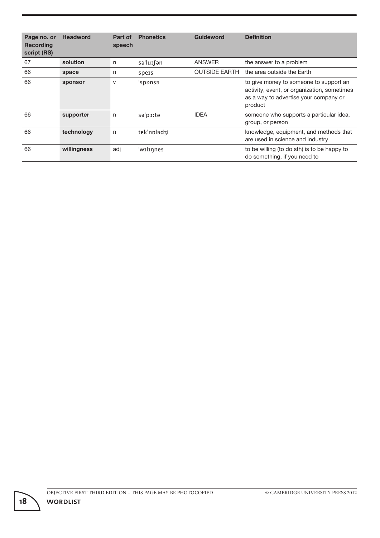| Page no. or<br><b>Recording</b><br>script (RS) | <b>Headword</b> | Part of<br>speech | <b>Phonetics</b> | <b>Guideword</b>     | <b>Definition</b>                                                                                                                         |
|------------------------------------------------|-----------------|-------------------|------------------|----------------------|-------------------------------------------------------------------------------------------------------------------------------------------|
| 67                                             | solution        | n                 | sə'luː∫ən        | ANSWER               | the answer to a problem                                                                                                                   |
| 66                                             | space           | n                 | spers            | <b>OUTSIDE EARTH</b> | the area outside the Earth                                                                                                                |
| 66                                             | sponsor         | $\vee$            | 'sponsa          |                      | to give money to someone to support an<br>activity, event, or organization, sometimes<br>as a way to advertise your company or<br>product |
| 66                                             | supporter       | n                 | sə'poːtə         | <b>IDEA</b>          | someone who supports a particular idea,<br>group, or person                                                                               |
| 66                                             | technology      | n                 | tek'npladzi      |                      | knowledge, equipment, and methods that<br>are used in science and industry                                                                |
| 66                                             | willingness     | adj               | 'wilinnes        |                      | to be willing (to do sth) is to be happy to<br>do something, if you need to                                                               |

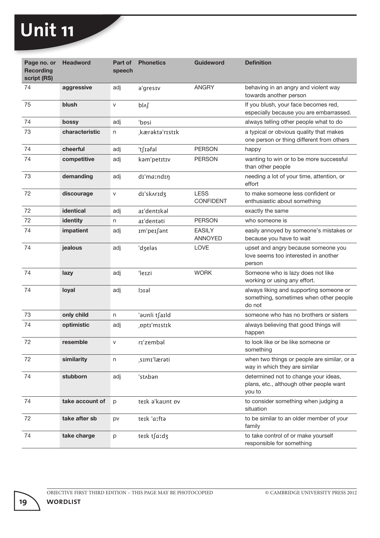| Page no. or<br><b>Recording</b><br>script (RS) | <b>Headword</b>  | Part of<br>speech | <b>Phonetics</b> | <b>Guideword</b>                | <b>Definition</b>                                                                           |
|------------------------------------------------|------------------|-------------------|------------------|---------------------------------|---------------------------------------------------------------------------------------------|
| 74                                             | aggressive       | adj               | a'gresiv         | <b>ANGRY</b>                    | behaving in an angry and violent way<br>towards another person                              |
| 75                                             | blush            | V                 | bl^l             |                                 | If you blush, your face becomes red,<br>especially because you are embarrassed.             |
| 74                                             | bossy            | adj               | 'bpsi            |                                 | always telling other people what to do                                                      |
| 73                                             | characteristic   | n                 | kærakta'rıstık   |                                 | a typical or obvious quality that makes<br>one person or thing different from others        |
| 74                                             | cheerful         | adj               | 't∫ɪəfəl         | <b>PERSON</b>                   | happy                                                                                       |
| 74                                             | competitive      | adj               | kam'petItIv      | <b>PERSON</b>                   | wanting to win or to be more successful<br>than other people                                |
| 73                                             | demanding        | adj               | dı'ma:ndıŋ       |                                 | needing a lot of your time, attention, or<br>effort                                         |
| 72                                             | discourage       | V                 | dı'skarıdz       | <b>LESS</b><br><b>CONFIDENT</b> | to make someone less confident or<br>enthusiastic about something                           |
| 72                                             | <b>identical</b> | adj               | ar'dentikal      |                                 | exactly the same                                                                            |
| 72                                             | identity         | n                 | ar'dentati       | <b>PERSON</b>                   | who someone is                                                                              |
| 74                                             | impatient        | adj               | Im'peI∫ant       | <b>EASILY</b><br>ANNOYED        | easily annoyed by someone's mistakes or<br>because you have to wait                         |
| 74                                             | jealous          | adj               | 'dzeləs          | <b>LOVE</b>                     | upset and angry because someone you<br>love seems too interested in another<br>person       |
| 74                                             | lazy             | adj               | 'leɪzi           | <b>WORK</b>                     | Someone who is lazy does not like<br>working or using any effort.                           |
| 74                                             | loyal            | adj               | leicl            |                                 | always liking and supporting someone or<br>something, sometimes when other people<br>do not |
| 73                                             | only child       | n                 | 'aunli t∫aɪld    |                                 | someone who has no brothers or sisters                                                      |
| 74                                             | optimistic       | adj               | pptɪ'mɪstɪk      |                                 | always believing that good things will<br>happen                                            |
| 72                                             | resemble         | $\mathsf{V}$      | rɪ'zembəl        |                                 | to look like or be like someone or<br>something                                             |
| 72                                             | similarity       | n                 | sımı'lærəti      |                                 | when two things or people are similar, or a<br>way in which they are similar                |
| 74                                             | stubborn         | adj               | 'st^ban          |                                 | determined not to change your ideas,<br>plans, etc., although other people want<br>you to   |
| 74                                             | take account of  | p                 | teik a'kaunt bv  |                                 | to consider something when judging a<br>situation                                           |
| 72                                             | take after sb    | pv                | teik 'aifta      |                                 | to be similar to an older member of your<br>family                                          |
| 74                                             | take charge      | p                 | teik tsa:dz      |                                 | to take control of or make yourself<br>responsible for something                            |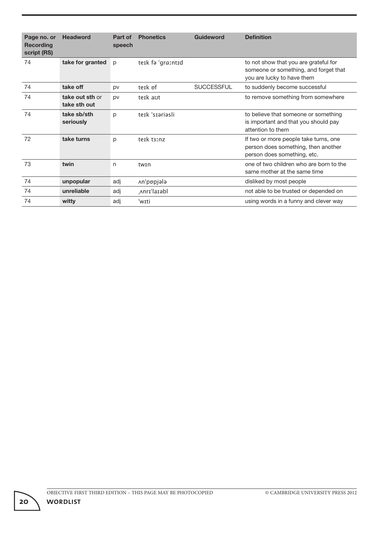| Page no. or<br><b>Recording</b><br>script (RS) | <b>Headword</b>                 | Part of<br>speech | <b>Phonetics</b>  | Guideword         | <b>Definition</b>                                                                                            |
|------------------------------------------------|---------------------------------|-------------------|-------------------|-------------------|--------------------------------------------------------------------------------------------------------------|
| 74                                             | take for granted                | p                 | teik fə 'graːntid |                   | to not show that you are grateful for<br>someone or something, and forget that<br>you are lucky to have them |
| 74                                             | take off                        | pv                | teik pf           | <b>SUCCESSFUL</b> | to suddenly become successful                                                                                |
| 74                                             | take out sth or<br>take sth out | pv                | teik aut          |                   | to remove something from somewhere                                                                           |
| 74                                             | take sb/sth<br>seriously        | p                 | terk 'srariasli   |                   | to believe that someone or something<br>is important and that you should pay<br>attention to them            |
| 72                                             | take turns                      | p                 | teik tainz        |                   | If two or more people take turns, one<br>person does something, then another<br>person does something, etc.  |
| 73                                             | twin                            | n                 | twin              |                   | one of two children who are born to the<br>same mother at the same time                                      |
| 74                                             | unpopular                       | adj               | An'popjala        |                   | disliked by most people                                                                                      |
| 74                                             | unreliable                      | adj               | Anri'la1əbl       |                   | not able to be trusted or depended on                                                                        |
| 74                                             | witty                           | adj               | 'wɪti             |                   | using words in a funny and clever way                                                                        |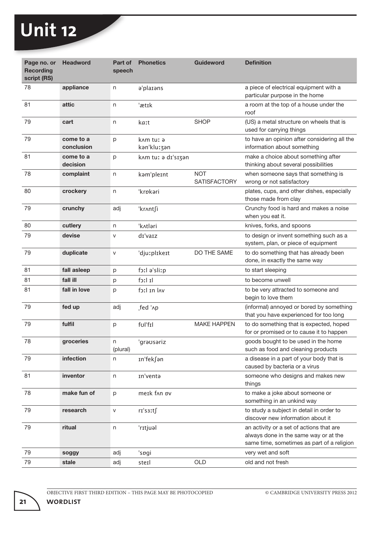| Page no. or<br><b>Recording</b><br>script (RS) | <b>Headword</b>         | Part of<br>speech | <b>Phonetics</b>         | <b>Guideword</b>                  | <b>Definition</b>                                                                                                               |
|------------------------------------------------|-------------------------|-------------------|--------------------------|-----------------------------------|---------------------------------------------------------------------------------------------------------------------------------|
| 78                                             | appliance               | n                 | a'plarans                |                                   | a piece of electrical equipment with a<br>particular purpose in the home                                                        |
| 81                                             | attic                   | n                 | 'ætik                    |                                   | a room at the top of a house under the<br>roof                                                                                  |
| 79                                             | cart                    | n                 | kaːt                     | <b>SHOP</b>                       | (US) a metal structure on wheels that is<br>used for carrying things                                                            |
| 79                                             | come to a<br>conclusion | p                 | kam tur ə<br>kan'kluːʒan |                                   | to have an opinion after considering all the<br>information about something                                                     |
| 81                                             | come to a<br>decision   | p                 | knm tuː ə dɪ'sɪʒən       |                                   | make a choice about something after<br>thinking about several possibilities                                                     |
| 78                                             | complaint               | n                 | kam'pleint               | <b>NOT</b><br><b>SATISFACTORY</b> | when someone says that something is<br>wrong or not satisfactory                                                                |
| 80                                             | crockery                | n                 | 'krøkari                 |                                   | plates, cups, and other dishes, especially<br>those made from clay                                                              |
| 79                                             | crunchy                 | adj               | 'kr∧nt∫i                 |                                   | Crunchy food is hard and makes a noise<br>when you eat it.                                                                      |
| 80                                             | cutlery                 | n                 | 'kʌtləri                 |                                   | knives, forks, and spoons                                                                                                       |
| 79                                             | devise                  | V                 | di'vaiz                  |                                   | to design or invent something such as a<br>system, plan, or piece of equipment                                                  |
| 79                                             | duplicate               | $\mathsf{V}$      | 'djuːplɪkeɪt             | DO THE SAME                       | to do something that has already been<br>done, in exactly the same way                                                          |
| 81                                             | fall asleep             | p                 | q:ila's lizp             |                                   | to start sleeping                                                                                                               |
| 81                                             | fall ill                | р                 | lI lːch                  |                                   | to become unwell                                                                                                                |
| 81                                             | fall in love            | p                 | hol in lav               |                                   | to be very attracted to someone and<br>begin to love them                                                                       |
| 79                                             | fed up                  | adj               | fed '^p                  |                                   | (informal) annoyed or bored by something<br>that you have experienced for too long                                              |
| 79                                             | fulfil                  | p                 | ful'fil                  | <b>MAKE HAPPEN</b>                | to do something that is expected, hoped<br>for or promised or to cause it to happen                                             |
| 78                                             | groceries               | n<br>(plural)     | 'grausariz               |                                   | goods bought to be used in the home<br>such as food and cleaning products                                                       |
| 79                                             | infection               | n                 | In'fek∫ən                |                                   | a disease in a part of your body that is<br>caused by bacteria or a virus                                                       |
| 81                                             | inventor                | n                 | In'venta                 |                                   | someone who designs and makes new<br>things                                                                                     |
| 78                                             | make fun of             | р                 | meik fan bv              |                                   | to make a joke about someone or<br>something in an unkind way                                                                   |
| 79                                             | research                | ${\sf V}$         | $ri'ss$ :ts              |                                   | to study a subject in detail in order to<br>discover new information about it                                                   |
| 79                                             | ritual                  | n                 | 'rɪtjuəl                 |                                   | an activity or a set of actions that are<br>always done in the same way or at the<br>same time, sometimes as part of a religion |
| 79                                             | soggy                   | adj               | 'spgi                    |                                   | very wet and soft                                                                                                               |
| 79                                             | stale                   | adj               | steil                    | <b>OLD</b>                        | old and not fresh                                                                                                               |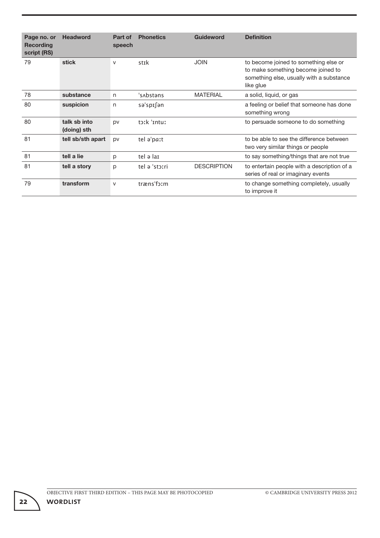| Page no. or<br>Recording<br>script (RS) | <b>Headword</b>             | Part of<br>speech | <b>Phonetics</b> | <b>Guideword</b>   | <b>Definition</b>                                                                                                                    |
|-----------------------------------------|-----------------------------|-------------------|------------------|--------------------|--------------------------------------------------------------------------------------------------------------------------------------|
| 79                                      | stick                       | $\vee$            | stīk             | <b>JOIN</b>        | to become joined to something else or<br>to make something become joined to<br>something else, usually with a substance<br>like glue |
| 78                                      | substance                   | n                 | 's Abstans       | <b>MATERIAL</b>    | a solid, liquid, or gas                                                                                                              |
| 80                                      | suspicion                   | n                 | sə'spisən        |                    | a feeling or belief that someone has done<br>something wrong                                                                         |
| 80                                      | talk sb into<br>(doing) sth | <b>DV</b>         | to:k 'intu:      |                    | to persuade someone to do something                                                                                                  |
| 81                                      | tell sb/sth apart           | pv                | tel a'paːt       |                    | to be able to see the difference between<br>two very similar things or people                                                        |
| 81                                      | tell a lie                  | p                 | tel ə laı        |                    | to say something/things that are not true                                                                                            |
| 81                                      | tell a story                | p                 | tel ə 'stəːri    | <b>DESCRIPTION</b> | to entertain people with a description of a<br>series of real or imaginary events                                                    |
| 79                                      | transform                   | $\mathsf{V}$      | træns'form       |                    | to change something completely, usually<br>to improve it                                                                             |

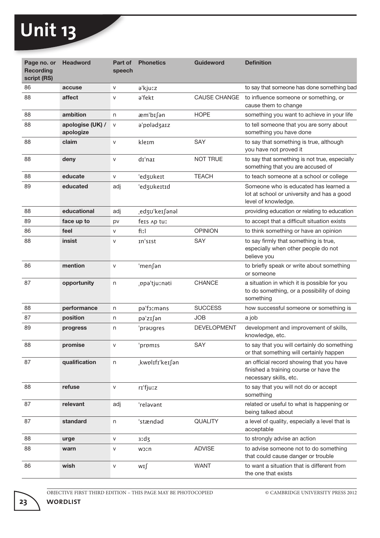| Page no. or<br><b>Recording</b><br>script (RS) | <b>Headword</b>               | Part of<br>speech | <b>Phonetics</b> | <b>Guideword</b>    | <b>Definition</b>                                                                                            |
|------------------------------------------------|-------------------------------|-------------------|------------------|---------------------|--------------------------------------------------------------------------------------------------------------|
| 86                                             | accuse                        | V                 | a'kjuːz          |                     | to say that someone has done something bad                                                                   |
| 88                                             | affect                        | V                 | a'fekt           | <b>CAUSE CHANGE</b> | to influence someone or something, or<br>cause them to change                                                |
| 88                                             | ambition                      | n                 | æm'bɪ∫ən         | <b>HOPE</b>         | something you want to achieve in your life                                                                   |
| 88                                             | apologise (UK) /<br>apologize | V                 | a'ppladzaiz      |                     | to tell someone that you are sorry about<br>something you have done                                          |
| 88                                             | claim                         | $\vee$            | kleɪm            | <b>SAY</b>          | to say that something is true, although<br>you have not proved it                                            |
| 88                                             | deny                          | $\mathsf{V}$      | dɪ'naɪ           | <b>NOT TRUE</b>     | to say that something is not true, especially<br>something that you are accused of                           |
| 88                                             | educate                       | V                 | 'edzukeɪt        | <b>TEACH</b>        | to teach someone at a school or college                                                                      |
| 89                                             | educated                      | adj               | 'edzukeɪtɪd      |                     | Someone who is educated has learned a<br>lot at school or university and has a good<br>level of knowledge.   |
| 88                                             | educational                   | adj               | edzʊ'keɪ∫ənəl    |                     | providing education or relating to education                                                                 |
| 89                                             | face up to                    | pv                | feis Ap tuː      |                     | to accept that a difficult situation exists                                                                  |
| 86                                             | feel                          | V                 | fiːl             | <b>OPINION</b>      | to think something or have an opinion                                                                        |
| 88                                             | insist                        | V                 | In'sist          | SAY                 | to say firmly that something is true,<br>especially when other people do not<br>believe you                  |
| 86                                             | mention                       | $\mathsf{V}$      | 'men∫ən          |                     | to briefly speak or write about something<br>or someone                                                      |
| 87                                             | opportunity                   | n                 | ppa'tjuːnəti     | <b>CHANCE</b>       | a situation in which it is possible for you<br>to do something, or a possibility of doing<br>something       |
| 88                                             | performance                   | n                 | pa'foːməns       | <b>SUCCESS</b>      | how successful someone or something is                                                                       |
| 87                                             | position                      | n                 | pə'zɪ∫ən         | <b>JOB</b>          | a job                                                                                                        |
| 89                                             | progress                      | n                 | 'praugres        | <b>DEVELOPMENT</b>  | development and improvement of skills,<br>knowledge, etc.                                                    |
| 88                                             | promise                       | V                 | promis           | SAY                 | to say that you will certainly do something<br>or that something will certainly happen                       |
| 87                                             | qualification                 | n                 | kwplIfI'keIfan   |                     | an official record showing that you have<br>finished a training course or have the<br>necessary skills, etc. |
| 88                                             | refuse                        | V                 | rɪ'fjuːz         |                     | to say that you will not do or accept<br>something                                                           |
| 87                                             | relevant                      | adj               | 'relavant        |                     | related or useful to what is happening or<br>being talked about                                              |
| 87                                             | standard                      | n                 | 'stændəd         | <b>QUALITY</b>      | a level of quality, especially a level that is<br>acceptable                                                 |
| 88                                             | urge                          | ${\sf V}$         | $3!d_5$          |                     | to strongly advise an action                                                                                 |
| 88                                             | warn                          | V                 | <b>W</b> oth     | <b>ADVISE</b>       | to advise someone not to do something<br>that could cause danger or trouble                                  |
| 86                                             | wish                          | $\mathsf{V}$      | wɪ∫              | <b>WANT</b>         | to want a situation that is different from<br>the one that exists                                            |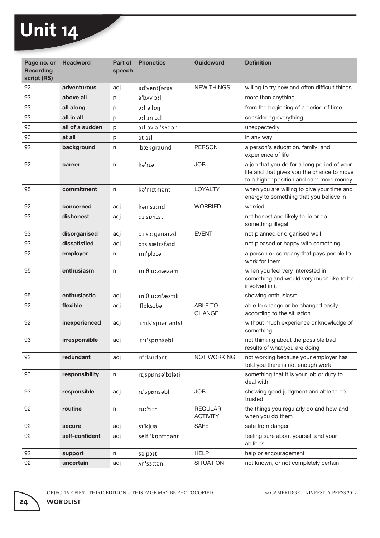| Page no. or<br><b>Recording</b><br>script (RS) | <b>Headword</b> | Part of<br>speech | <b>Phonetics</b>   | <b>Guideword</b>                  | <b>Definition</b>                                                                                                                     |
|------------------------------------------------|-----------------|-------------------|--------------------|-----------------------------------|---------------------------------------------------------------------------------------------------------------------------------------|
| 92                                             | adventurous     | adj               | ad'ventfaras       | <b>NEW THINGS</b>                 | willing to try new and often difficult things                                                                                         |
| 93                                             | above all       | p                 | lːc vʌdˈə          |                                   | more than anything                                                                                                                    |
| 93                                             | all along       | р                 | ptl ə'lpŋ          |                                   | from the beginning of a period of time                                                                                                |
| 93                                             | all in all      | р                 | lic ni lic         |                                   | considering everything                                                                                                                |
| 93                                             | all of a sudden | p                 | neb^s e ve lːc     |                                   | unexpectedly                                                                                                                          |
| 93                                             | at all          | р                 | at oːl             |                                   | in any way                                                                                                                            |
| 92                                             | background      | n                 | 'bækgraund         | <b>PERSON</b>                     | a person's education, family, and<br>experience of life                                                                               |
| 92                                             | career          | n                 | kə'rıə             | <b>JOB</b>                        | a job that you do for a long period of your<br>life and that gives you the chance to move<br>to a higher position and earn more money |
| 95                                             | commitment      | n                 | ka'mɪtmənt         | LOYALTY                           | when you are willing to give your time and<br>energy to something that you believe in                                                 |
| 92                                             | concerned       | adj               | kan's3:nd          | <b>WORRIED</b>                    | worried                                                                                                                               |
| 93                                             | dishonest       | adj               | dr'spnist          |                                   | not honest and likely to lie or do<br>something illegal                                                                               |
| 93                                             | disorganised    | adj               | dı'so:gənaizd      | <b>EVENT</b>                      | not planned or organised well                                                                                                         |
| 93                                             | dissatisfied    | adj               | dıs'sætisfaid      |                                   | not pleased or happy with something                                                                                                   |
| 92                                             | employer        | n                 | stclq'mr           |                                   | a person or company that pays people to<br>work for them                                                                              |
| 95                                             | enthusiasm      | n                 | In'θjuːziæzəm      |                                   | when you feel very interested in<br>something and would very much like to be<br>involved in it                                        |
| 95                                             | enthusiastic    | adj               | In θjuːzi'æstɪk    |                                   | showing enthusiasm                                                                                                                    |
| 92                                             | flexible        | adj               | 'fleks1bal         | <b>ABLE TO</b><br><b>CHANGE</b>   | able to change or be changed easily<br>according to the situation                                                                     |
| 92                                             | inexperienced   | adj               | .InIk'spiariantst  |                                   | without much experience or knowledge of<br>something                                                                                  |
| 93                                             | irresponsible   | adj               | Irr'sponsabl       |                                   | not thinking about the possible bad<br>results of what you are doing                                                                  |
| 92                                             | redundant       | adj               | rɪ'dʌndənt         | <b>NOT WORKING</b>                | not working because your employer has<br>told you there is not enough work                                                            |
| 93                                             | responsibility  | n                 | rı, sponsa' bılati |                                   | something that it is your job or duty to<br>deal with                                                                                 |
| 93                                             | responsible     | adj               | rɪ'sppnsəbl        | <b>JOB</b>                        | showing good judgment and able to be<br>trusted                                                                                       |
| 92                                             | routine         | n                 | ruː'tiːn           | <b>REGULAR</b><br><b>ACTIVITY</b> | the things you regularly do and how and<br>when you do them                                                                           |
| 92                                             | secure          | adj               | sɪ'kjʊə            | <b>SAFE</b>                       | safe from danger                                                                                                                      |
| 92                                             | self-confident  | adj               | self 'kønfɪdənt    |                                   | feeling sure about yourself and your<br>abilities                                                                                     |
| 92                                             | support         | n                 | sə'poːt            | <b>HELP</b>                       | help or encouragement                                                                                                                 |
| 92                                             | uncertain       | adj               | An's3ːtən          | <b>SITUATION</b>                  | not known, or not completely certain                                                                                                  |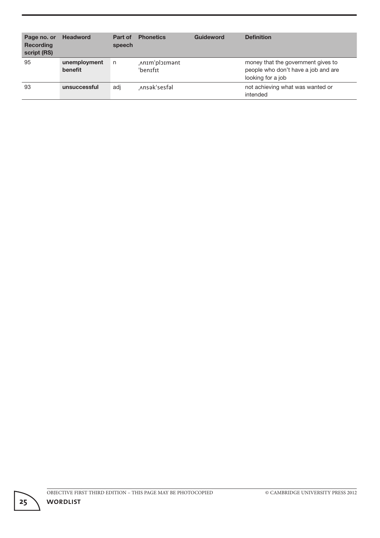| Page no. or<br><b>Recording</b><br>script (RS) | <b>Headword</b>         | Part of<br>speech | <b>Phonetics</b>          | Guideword | <b>Definition</b>                                                                              |
|------------------------------------------------|-------------------------|-------------------|---------------------------|-----------|------------------------------------------------------------------------------------------------|
| 95                                             | unemployment<br>benefit | n                 | Anim'ploimant<br>'benifit |           | money that the government gives to<br>people who don't have a job and are<br>looking for a job |
| 93                                             | unsuccessful            | adj               | Ansak'sesfal              |           | not achieving what was wanted or<br>intended                                                   |

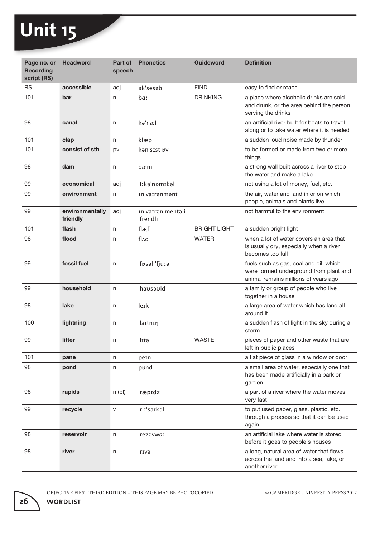| Page no. or<br><b>Recording</b><br>script (RS) | <b>Headword</b>             | Part of<br>speech | <b>Phonetics</b>               | <b>Guideword</b>    | <b>Definition</b>                                                                                                        |
|------------------------------------------------|-----------------------------|-------------------|--------------------------------|---------------------|--------------------------------------------------------------------------------------------------------------------------|
| <b>RS</b>                                      | accessible                  | adj               | ak'sesabl                      | <b>FIND</b>         | easy to find or reach                                                                                                    |
| 101                                            | bar                         | n                 | <b>ba</b>                      | <b>DRINKING</b>     | a place where alcoholic drinks are sold<br>and drunk, or the area behind the person<br>serving the drinks                |
| 98                                             | canal                       | n                 | ka'næl                         |                     | an artificial river built for boats to travel<br>along or to take water where it is needed                               |
| 101                                            | clap                        | n                 | klæp                           |                     | a sudden loud noise made by thunder                                                                                      |
| 101                                            | consist of sth              | pv                | kan'sist pv                    |                     | to be formed or made from two or more<br>things                                                                          |
| 98                                             | dam                         | n                 | dæm                            |                     | a strong wall built across a river to stop<br>the water and make a lake                                                  |
| 99                                             | economical                  | adj               | iːkəˈnɒmɪkəl                   |                     | not using a lot of money, fuel, etc.                                                                                     |
| 99                                             | environment                 | n                 | In'vairanmant                  |                     | the air, water and land in or on which<br>people, animals and plants live                                                |
| 99                                             | environmentally<br>friendly | adj               | In, varran'mentali<br>'frendli |                     | not harmful to the environment                                                                                           |
| 101                                            | flash                       | n                 | flæ∫                           | <b>BRIGHT LIGHT</b> | a sudden bright light                                                                                                    |
| 98                                             | flood                       | n                 | fl∧d                           | <b>WATER</b>        | when a lot of water covers an area that<br>is usually dry, especially when a river<br>becomes too full                   |
| 99                                             | fossil fuel                 | n                 | 'føsal 'fjuːal                 |                     | fuels such as gas, coal and oil, which<br>were formed underground from plant and<br>animal remains millions of years ago |
| 99                                             | household                   | n                 | 'hausauld                      |                     | a family or group of people who live<br>together in a house                                                              |
| 98                                             | lake                        | n                 | lerk                           |                     | a large area of water which has land all<br>around it                                                                    |
| 100                                            | lightning                   | n                 | 'laɪtnɪŋ                       |                     | a sudden flash of light in the sky during a<br>storm                                                                     |
| 99                                             | litter                      | n                 | 'lɪtə                          | <b>WASTE</b>        | pieces of paper and other waste that are<br>left in public places                                                        |
| 101                                            | pane                        | n                 | pern                           |                     | a flat piece of glass in a window or door                                                                                |
| 98                                             | pond                        | n                 | ppnd                           |                     | a small area of water, especially one that<br>has been made artificially in a park or<br>garden                          |
| 98                                             | rapids                      | n(p)              | 'ræpidz                        |                     | a part of a river where the water moves<br>very fast                                                                     |
| 99                                             | recycle                     | ${\sf V}$         | riː'saɪkəl                     |                     | to put used paper, glass, plastic, etc.<br>through a process so that it can be used<br>again                             |
| 98                                             | reservoir                   | n                 | 'rezavwaː                      |                     | an artificial lake where water is stored<br>before it goes to people's houses                                            |
| 98                                             | river                       | n                 | GvI1 <sup>'</sup>              |                     | a long, natural area of water that flows<br>across the land and into a sea, lake, or<br>another river                    |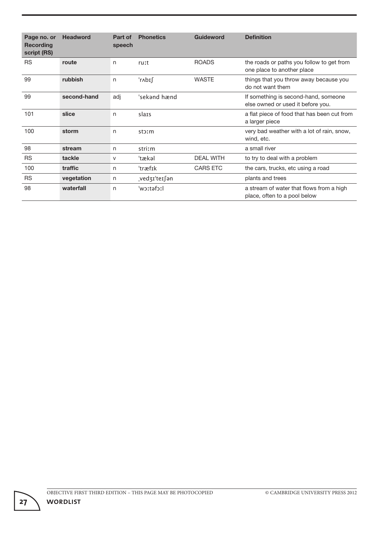| Page no. or<br><b>Recording</b><br>script (RS) | <b>Headword</b> | Part of<br>speech | <b>Phonetics</b> | <b>Guideword</b> | <b>Definition</b>                                                         |
|------------------------------------------------|-----------------|-------------------|------------------|------------------|---------------------------------------------------------------------------|
| <b>RS</b>                                      | route           | n                 | ruːt             | <b>ROADS</b>     | the roads or paths you follow to get from<br>one place to another place   |
| 99                                             | rubbish         | n                 | 'r∧bɪ∫           | <b>WASTE</b>     | things that you throw away because you<br>do not want them                |
| 99                                             | second-hand     | adj               | 'sekand hænd     |                  | If something is second-hand, someone<br>else owned or used it before you. |
| 101                                            | slice           | n                 | slars            |                  | a flat piece of food that has been cut from<br>a larger piece             |
| 100                                            | storm           | n                 | storm            |                  | very bad weather with a lot of rain, snow,<br>wind, etc.                  |
| 98                                             | stream          | n                 | striːm           |                  | a small river                                                             |
| <b>RS</b>                                      | tackle          | V                 | 'tækəl           | <b>DEAL WITH</b> | to try to deal with a problem                                             |
| 100                                            | traffic         | n                 | 'træfik          | <b>CARS ETC</b>  | the cars, trucks, etc using a road                                        |
| <b>RS</b>                                      | vegetation      | n                 | vedʒɪˈteɪ∫ən     |                  | plants and trees                                                          |
| 98                                             | waterfall       | n                 | lːcʔəfɔːl        |                  | a stream of water that flows from a high<br>place, often to a pool below  |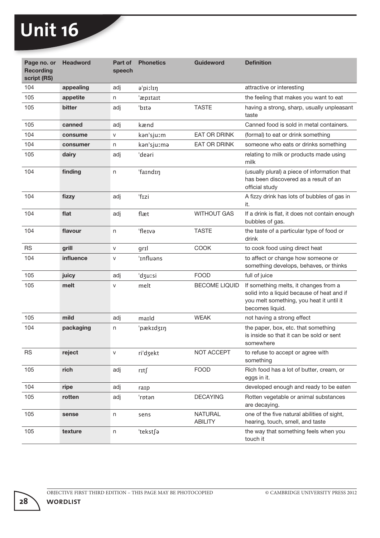| Page no. or<br><b>Recording</b><br>script (RS) | <b>Headword</b> | Part of<br>speech | <b>Phonetics</b> | <b>Guideword</b>                 | <b>Definition</b>                                                                                                                                  |
|------------------------------------------------|-----------------|-------------------|------------------|----------------------------------|----------------------------------------------------------------------------------------------------------------------------------------------------|
| 104                                            | appealing       | adj               | ə'piːlɪŋ         |                                  | attractive or interesting                                                                                                                          |
| 105                                            | appetite        | n                 | 'æpītaīt         |                                  | the feeling that makes you want to eat                                                                                                             |
| 105                                            | bitter          | adj               | 'bɪtə            | <b>TASTE</b>                     | having a strong, sharp, usually unpleasant<br>taste                                                                                                |
| 105                                            | canned          | adj               | kænd             |                                  | Canned food is sold in metal containers.                                                                                                           |
| 104                                            | consume         | V                 | kən'sjuːm        | EAT OR DRINK                     | (formal) to eat or drink something                                                                                                                 |
| 104                                            | consumer        | n                 | kən'sjuːmə       | EAT OR DRINK                     | someone who eats or drinks something                                                                                                               |
| 105                                            | dairy           | adj               | 'deari           |                                  | relating to milk or products made using<br>milk                                                                                                    |
| 104                                            | finding         | n                 | 'faindin         |                                  | (usually plural) a piece of information that<br>has been discovered as a result of an<br>official study                                            |
| 104                                            | fizzy           | adj               | 'fɪzi            |                                  | A fizzy drink has lots of bubbles of gas in<br>it.                                                                                                 |
| 104                                            | flat            | adj               | flæt             | <b>WITHOUT GAS</b>               | If a drink is flat, it does not contain enough<br>bubbles of gas.                                                                                  |
| 104                                            | flavour         | n                 | 'flerva          | <b>TASTE</b>                     | the taste of a particular type of food or<br>drink                                                                                                 |
| <b>RS</b>                                      | grill           | V                 | grɪl             | <b>COOK</b>                      | to cook food using direct heat                                                                                                                     |
| 104                                            | influence       | v                 | 'Influans        |                                  | to affect or change how someone or<br>something develops, behaves, or thinks                                                                       |
| 105                                            | juicy           | adj               | 'dzursi          | <b>FOOD</b>                      | full of juice                                                                                                                                      |
| 105                                            | melt            | V                 | melt             | <b>BECOME LIQUID</b>             | If something melts, it changes from a<br>solid into a liquid because of heat and if<br>you melt something, you heat it until it<br>becomes liquid. |
| 105                                            | mild            | adj               | maild            | <b>WEAK</b>                      | not having a strong effect                                                                                                                         |
| 104                                            | packaging       | n                 | 'pækɪdʒɪŋ        |                                  | the paper, box, etc. that something<br>is inside so that it can be sold or sent<br>somewhere                                                       |
| <b>RS</b>                                      | reject          | v                 | ri'dzekt         | NOT ACCEPT                       | to refuse to accept or agree with<br>something                                                                                                     |
| 105                                            | rich            | adj               | rɪt∫             | <b>FOOD</b>                      | Rich food has a lot of butter, cream, or<br>eggs in it.                                                                                            |
| 104                                            | ripe            | adj               | raip             |                                  | developed enough and ready to be eaten                                                                                                             |
| 105                                            | rotten          | adj               | 'rptən           | <b>DECAYING</b>                  | Rotten vegetable or animal substances<br>are decaying.                                                                                             |
| 105                                            | sense           | n                 | sens             | <b>NATURAL</b><br><b>ABILITY</b> | one of the five natural abilities of sight,<br>hearing, touch, smell, and taste                                                                    |
| 105                                            | texture         | n                 | 'tekst∫ə         |                                  | the way that something feels when you<br>touch it                                                                                                  |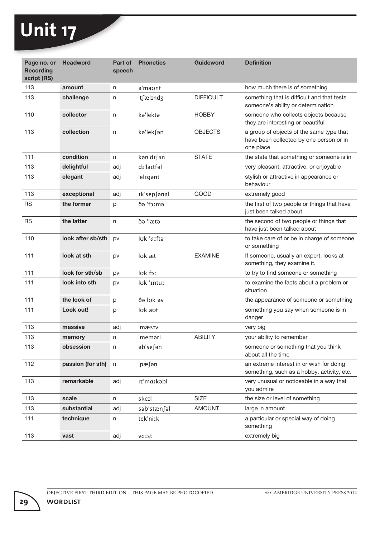| Page no. or<br><b>Recording</b><br>script (RS) | <b>Headword</b>   | Part of<br>speech | <b>Phonetics</b> | <b>Guideword</b> | <b>Definition</b>                                                                                |
|------------------------------------------------|-------------------|-------------------|------------------|------------------|--------------------------------------------------------------------------------------------------|
| 113                                            | amount            | n                 | a'maunt          |                  | how much there is of something                                                                   |
| 113                                            | challenge         | n                 | 'tfælindz        | <b>DIFFICULT</b> | something that is difficult and that tests<br>someone's ability or determination                 |
| 110                                            | collector         | n                 | ka'lekta         | <b>HOBBY</b>     | someone who collects objects because<br>they are interesting or beautiful                        |
| 113                                            | collection        | n                 | kə'lek∫ən        | <b>OBJECTS</b>   | a group of objects of the same type that<br>have been collected by one person or in<br>one place |
| 111                                            | condition         | n                 | kən'dɪ∫ən        | <b>STATE</b>     | the state that something or someone is in                                                        |
| 113                                            | delightful        | adj               | dɪ'laɪtfəl       |                  | very pleasant, attractive, or enjoyable                                                          |
| 113                                            | elegant           | adj               | 'eligant         |                  | stylish or attractive in appearance or<br>behaviour                                              |
| 113                                            | exceptional       | adj               | Ik'sep∫anal      | GOOD             | extremely good                                                                                   |
| <b>RS</b>                                      | the former        | p                 | emːcì eð         |                  | the first of two people or things that have<br>just been talked about                            |
| <b>RS</b>                                      | the latter        | n                 | ðə 'lætə         |                  | the second of two people or things that<br>have just been talked about                           |
| 110                                            | look after sb/sth | pv                | luk 'aːftə       |                  | to take care of or be in charge of someone<br>or something                                       |
| 111                                            | look at sth       | pv                | luk æt           | <b>EXAMINE</b>   | If someone, usually an expert, looks at<br>something, they examine it.                           |
| 111                                            | look for sth/sb   | pv                | luk for          |                  | to try to find someone or something                                                              |
| 111                                            | look into sth     | pv                | luk 'Intuː       |                  | to examine the facts about a problem or<br>situation                                             |
| 111                                            | the look of       | p                 | də luk əv        |                  | the appearance of someone or something                                                           |
| 111                                            | Look out!         | p                 | luk aut          |                  | something you say when someone is in<br>danger                                                   |
| 113                                            | massive           | adj               | 'mæsɪv           |                  | very big                                                                                         |
| 113                                            | memory            | n                 | 'meməri          | <b>ABILITY</b>   | your ability to remember                                                                         |
| 113                                            | obsession         | n                 | əb'se∫ən         |                  | someone or something that you think<br>about all the time                                        |
| 112                                            | passion (for sth) | n                 | 'pæfən           |                  | an extreme interest in or wish for doing<br>something, such as a hobby, activity, etc.           |
| 113                                            | remarkable        | adj               | rɪ'maːkəbl       |                  | very unusual or noticeable in a way that<br>you admire                                           |
| 113                                            | scale             | n                 | skerl            | <b>SIZE</b>      | the size or level of something                                                                   |
| 113                                            | substantial       | adj               | səb'stænfəl      | <b>AMOUNT</b>    | large in amount                                                                                  |
| 111                                            | technique         | n                 | tek'niːk         |                  | a particular or special way of doing<br>something                                                |
| 113                                            | vast              | adj               | vaist            |                  | extremely big                                                                                    |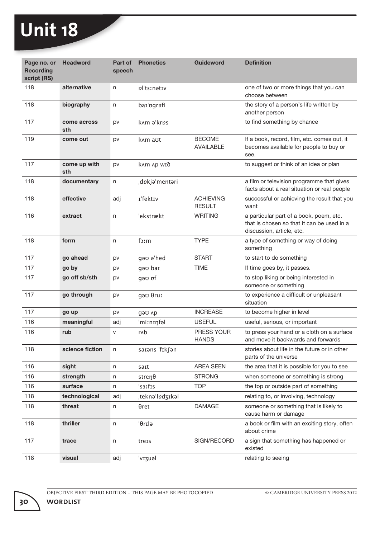| Page no. or<br><b>Recording</b><br>script (RS) | <b>Headword</b>     | Part of<br>speech | <b>Phonetics</b>    | <b>Guideword</b>                  | <b>Definition</b>                                                                                                  |
|------------------------------------------------|---------------------|-------------------|---------------------|-----------------------------------|--------------------------------------------------------------------------------------------------------------------|
| 118                                            | alternative         | n                 | pl'ts:nativ         |                                   | one of two or more things that you can<br>choose between                                                           |
| 118                                            | biography           | n                 | bar'pgrafi          |                                   | the story of a person's life written by<br>another person                                                          |
| 117                                            | come across<br>sth  | pv                | k^m a'krps          |                                   | to find something by chance                                                                                        |
| 119                                            | come out            | pv                | k <sub>nm</sub> aut | <b>BECOME</b><br><b>AVAILABLE</b> | If a book, record, film, etc. comes out, it<br>becomes available for people to buy or<br>see.                      |
| 117                                            | come up with<br>sth | pv                | knm np wið          |                                   | to suggest or think of an idea or plan                                                                             |
| 118                                            | documentary         | n                 | dokja'mentari       |                                   | a film or television programme that gives<br>facts about a real situation or real people                           |
| 118                                            | effective           | adj               | I'fektIv            | <b>ACHIEVING</b><br><b>RESULT</b> | successful or achieving the result that you<br>want                                                                |
| 116                                            | extract             | n                 | 'ekstrækt           | <b>WRITING</b>                    | a particular part of a book, poem, etc.<br>that is chosen so that it can be used in a<br>discussion, article, etc. |
| 118                                            | form                | n                 | foːm                | <b>TYPE</b>                       | a type of something or way of doing<br>something                                                                   |
| 117                                            | go ahead            | pv                | gau a'hed           | <b>START</b>                      | to start to do something                                                                                           |
| 117                                            | go by               | pv                | gau bar             | <b>TIME</b>                       | If time goes by, it passes.                                                                                        |
| 117                                            | go off sb/sth       | pv                | gəʊ ɒf              |                                   | to stop liking or being interested in<br>someone or something                                                      |
| 117                                            | go through          | pv                | gau θruː            |                                   | to experience a difficult or unpleasant<br>situation                                                               |
| 117                                            | go up               | pv                | дэл ур              | <b>INCREASE</b>                   | to become higher in level                                                                                          |
| 116                                            | meaningful          | adj               | 'miːnɪŋfəl          | <b>USEFUL</b>                     | useful, serious, or important                                                                                      |
| 116                                            | rub                 | $\vee$            | rnb                 | PRESS YOUR<br><b>HANDS</b>        | to press your hand or a cloth on a surface<br>and move it backwards and forwards                                   |
| 118                                            | science fiction     | n                 | saIans 'fIk∫an      |                                   | stories about life in the future or in other<br>parts of the universe                                              |
| 116                                            | sight               | n                 | sart                | AREA SEEN                         | the area that it is possible for you to see                                                                        |
| 116                                            | strength            | n                 | $stren\theta$       | <b>STRONG</b>                     | when someone or something is strong                                                                                |
| 116                                            | surface             | n                 | 's3ːfɪs             | <b>TOP</b>                        | the top or outside part of something                                                                               |
| 118                                            | technological       | adj               | tekna'lødʒɪkəl      |                                   | relating to, or involving, technology                                                                              |
| 118                                            | threat              | n                 | $\theta$ ret        | <b>DAMAGE</b>                     | someone or something that is likely to<br>cause harm or damage                                                     |
| 118                                            | thriller            | n                 | 'θrilə              |                                   | a book or film with an exciting story, often<br>about crime                                                        |
| 117                                            | trace               | n                 | treis               | SIGN/RECORD                       | a sign that something has happened or<br>existed                                                                   |
| 118                                            | visual              | adj               | 'vɪʒuəl             |                                   | relating to seeing                                                                                                 |

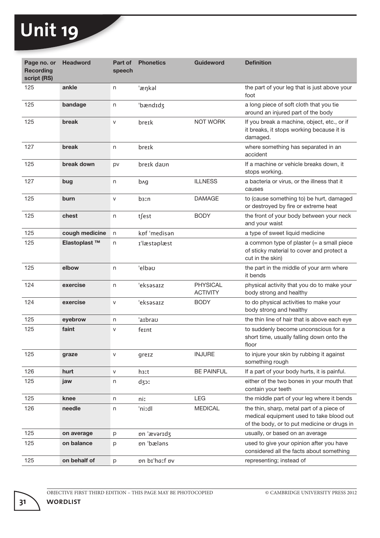| Page no. or<br><b>Recording</b><br>script (RS) | <b>Headword</b>          | Part of<br>speech | <b>Phonetics</b>  | <b>Guideword</b>                   | <b>Definition</b>                                                                                                                    |
|------------------------------------------------|--------------------------|-------------------|-------------------|------------------------------------|--------------------------------------------------------------------------------------------------------------------------------------|
| 125                                            | ankle                    | n                 | 'æŋkəl            |                                    | the part of your leg that is just above your<br>foot                                                                                 |
| 125                                            | bandage                  | n                 | bændɪdʒ           |                                    | a long piece of soft cloth that you tie<br>around an injured part of the body                                                        |
| 125                                            | break                    | ${\sf V}$         | breik             | NOT WORK                           | If you break a machine, object, etc., or if<br>it breaks, it stops working because it is<br>damaged.                                 |
| 127                                            | break                    | n                 | breɪk             |                                    | where something has separated in an<br>accident                                                                                      |
| 125                                            | break down               | pv                | bre1k daon        |                                    | If a machine or vehicle breaks down, it<br>stops working.                                                                            |
| 127                                            | bug                      | n                 | bng               | <b>ILLNESS</b>                     | a bacteria or virus, or the illness that it<br>causes                                                                                |
| 125                                            | burn                     | $\mathsf{V}$      | b <sub>3</sub> In | <b>DAMAGE</b>                      | to (cause something to) be hurt, damaged<br>or destroyed by fire or extreme heat                                                     |
| 125                                            | chest                    | n                 | t∫est             | <b>BODY</b>                        | the front of your body between your neck<br>and your waist                                                                           |
| 125                                            | cough medicine           | n                 | kpf 'medisan      |                                    | a type of sweet liquid medicine                                                                                                      |
| 125                                            | Elastoplast <sup>™</sup> | n                 | I'læstaplæst      |                                    | a common type of plaster (= a small piece<br>of sticky material to cover and protect a<br>cut in the skin)                           |
| 125                                            | elbow                    | n                 | 'elbəu            |                                    | the part in the middle of your arm where<br>it bends                                                                                 |
| 124                                            | exercise                 | n                 | 'eksəsarz         | <b>PHYSICAL</b><br><b>ACTIVITY</b> | physical activity that you do to make your<br>body strong and healthy                                                                |
| 124                                            | exercise                 | $\mathsf{V}$      | 'eksəsarz         | <b>BODY</b>                        | to do physical activities to make your<br>body strong and healthy                                                                    |
| 125                                            | eyebrow                  | n                 | 'aɪbraʊ           |                                    | the thin line of hair that is above each eye                                                                                         |
| 125                                            | faint                    | V                 | feint             |                                    | to suddenly become unconscious for a<br>short time, usually falling down onto the<br>floor                                           |
| 125                                            | graze                    | $\mathsf{V}$      | greiz             | <b>INJURE</b>                      | to injure your skin by rubbing it against<br>something rough                                                                         |
| 126                                            | hurt                     | ${\sf V}$         | h <sub>3</sub> xt | <b>BE PAINFUL</b>                  | If a part of your body hurts, it is painful.                                                                                         |
| 125                                            | jaw                      | n                 | dzor              |                                    | either of the two bones in your mouth that<br>contain your teeth                                                                     |
| 125                                            | knee                     | n                 | niː               | LEG                                | the middle part of your leg where it bends                                                                                           |
| 126                                            | needle                   | n                 | 'niːdl            | <b>MEDICAL</b>                     | the thin, sharp, metal part of a piece of<br>medical equipment used to take blood out<br>of the body, or to put medicine or drugs in |
| 125                                            | on average               | р                 | pn 'ævaridz       |                                    | usually, or based on an average                                                                                                      |
| 125                                            | on balance               | р                 | pn 'bælans        |                                    | used to give your opinion after you have<br>considered all the facts about something                                                 |
| 125                                            | on behalf of             | p                 | on bi'ha:f ov     |                                    | representing; instead of                                                                                                             |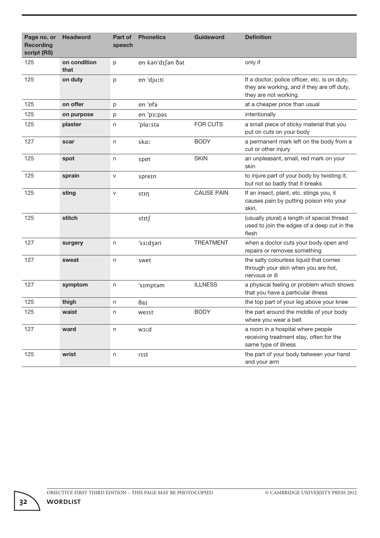| Page no. or<br><b>Recording</b><br>script (RS) | <b>Headword</b>      | Part of<br>speech | <b>Phonetics</b>                | <b>Guideword</b>  | <b>Definition</b>                                                                                                     |
|------------------------------------------------|----------------------|-------------------|---------------------------------|-------------------|-----------------------------------------------------------------------------------------------------------------------|
| 125                                            | on condition<br>that | p                 | <i><b>pn k</b>an'd</i> I∫an ðat |                   | only if                                                                                                               |
| 125                                            | on duty              | p                 | pn 'djuːti                      |                   | If a doctor, police officer, etc. is on duty,<br>they are working, and if they are off duty,<br>they are not working. |
| 125                                            | on offer             | p                 | pn 'pfa                         |                   | at a cheaper price than usual                                                                                         |
| 125                                            | on purpose           | p                 | pn 'psːpəs                      |                   | intentionally                                                                                                         |
| 125                                            | plaster              | n                 | 'plaːstə                        | <b>FOR CUTS</b>   | a small piece of sticky material that you<br>put on cuts on your body                                                 |
| 127                                            | scar                 | n                 | skaː                            | <b>BODY</b>       | a permanent mark left on the body from a<br>cut or other injury                                                       |
| 125                                            | spot                 | n                 | sppt                            | <b>SKIN</b>       | an unpleasant, small, red mark on your<br>skin                                                                        |
| 125                                            | sprain               | V                 | sprein                          |                   | to injure part of your body by twisting it,<br>but not so badly that it breaks                                        |
| 125                                            | sting                | $\mathsf{V}$      | stin                            | <b>CAUSE PAIN</b> | If an insect, plant, etc. stings you, it<br>causes pain by putting poison into your<br>skin.                          |
| 125                                            | stitch               |                   | stɪt∫                           |                   | (usually plural) a length of special thread<br>used to join the edges of a deep cut in the<br>flesh                   |
| 127                                            | surgery              | n                 | 's3ːdʒəri                       | <b>TREATMENT</b>  | when a doctor cuts your body open and<br>repairs or removes something                                                 |
| 127                                            | sweat                | n                 | swet                            |                   | the salty colourless liquid that comes<br>through your skin when you are hot,<br>nervous or ill                       |
| 127                                            | symptom              | n                 | 'sImptam                        | <b>ILLNESS</b>    | a physical feeling or problem which shows<br>that you have a particular illness                                       |
| 125                                            | thigh                | n                 | Өат                             |                   | the top part of your leg above your knee                                                                              |
| 125                                            | waist                | n                 | weist                           | <b>BODY</b>       | the part around the middle of your body<br>where you wear a belt                                                      |
| 127                                            | ward                 | n                 | brcw                            |                   | a room in a hospital where people<br>receiving treatment stay, often for the<br>same type of illness                  |
| 125                                            | wrist                | n                 | rist                            |                   | the part of your body between your hand<br>and your arm                                                               |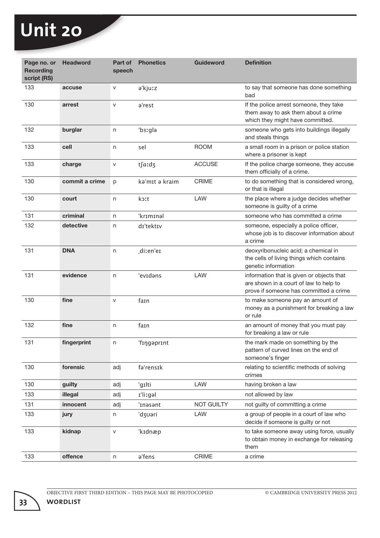| Page no. or<br><b>Recording</b><br>script (RS) | <b>Headword</b> | Part of<br>speech | <b>Phonetics</b>      | <b>Guideword</b>  | <b>Definition</b>                                                                                                             |
|------------------------------------------------|-----------------|-------------------|-----------------------|-------------------|-------------------------------------------------------------------------------------------------------------------------------|
| 133                                            | accuse          | $\vee$            | a'kjuːz               |                   | to say that someone has done something<br>bad                                                                                 |
| 130                                            | arrest          | $\mathsf{V}$      | a'rest                |                   | If the police arrest someone, they take<br>them away to ask them about a crime<br>which they might have committed.            |
| 132                                            | burglar         | n                 | b <sub>3</sub> :gla   |                   | someone who gets into buildings illegally<br>and steals things                                                                |
| 133                                            | cell            | n                 | sel                   | <b>ROOM</b>       | a small room in a prison or police station<br>where a prisoner is kept                                                        |
| 133                                            | charge          | $\sf V$           | t∫aːdʒ                | <b>ACCUSE</b>     | If the police charge someone, they accuse<br>them officially of a crime.                                                      |
| 130                                            | commit a crime  | p                 | kə'mit ə kraim        | <b>CRIME</b>      | to do something that is considered wrong,<br>or that is illegal                                                               |
| 130                                            | court           | n                 | koːt                  | LAW               | the place where a judge decides whether<br>someone is guilty of a crime                                                       |
| 131                                            | criminal        | n                 | 'krɪmɪnəl             |                   | someone who has committed a crime                                                                                             |
| 132                                            | detective       | n                 | dɪ'tektɪv             |                   | someone, especially a police officer,<br>whose job is to discover information about<br>a crime                                |
| 131                                            | <b>DNA</b>      | n                 | di:en'e1              |                   | deoxyribonucleic acid; a chemical in<br>the cells of living things which contains<br>genetic information                      |
| 131                                            | evidence        | n                 | 'evidans              | LAW               | information that is given or objects that<br>are shown in a court of law to help to<br>prove if someone has committed a crime |
| 130                                            | fine            | $\mathsf{V}$      | fain                  |                   | to make someone pay an amount of<br>money as a punishment for breaking a law<br>or rule                                       |
| 132                                            | fine            | n                 | fain                  |                   | an amount of money that you must pay<br>for breaking a law or rule                                                            |
| 131                                            | fingerprint     | n                 | 'fingaprint           |                   | the mark made on something by the<br>pattern of curved lines on the end of<br>someone's finger                                |
| 130                                            | forensic        | adj               | fa'rensik             |                   | relating to scientific methods of solving<br>crimes                                                                           |
| 130                                            | guilty          | adj               | 'gɪlti                | LAW               | having broken a law                                                                                                           |
| 133                                            | illegal         | adj               | I <sup>'</sup> lizgəl |                   | not allowed by law                                                                                                            |
| 131                                            | innocent        | adj               | 'Inasant              | <b>NOT GUILTY</b> | not guilty of committing a crime                                                                                              |
| 133                                            | jury            | n                 | 'dʒʊəri               | LAW               | a group of people in a court of law who<br>decide if someone is guilty or not                                                 |
| 133                                            | kidnap          | $\mathsf{V}$      | 'kɪdnæp               |                   | to take someone away using force, usually<br>to obtain money in exchange for releasing<br>them                                |
| 133                                            | offence         | n                 | a'fens                | CRIME             | a crime                                                                                                                       |

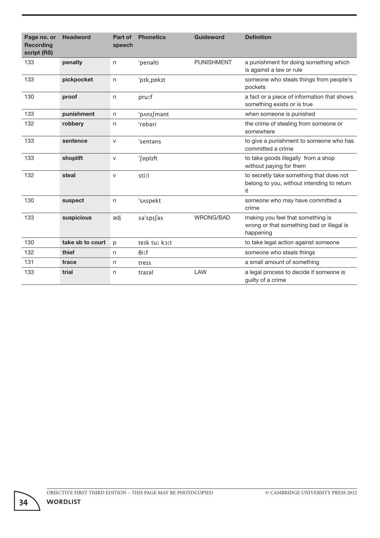| Page no. or<br><b>Recording</b><br>script (RS) | <b>Headword</b>  | Part of<br>speech | <b>Phonetics</b> | <b>Guideword</b>  | <b>Definition</b>                                                                             |
|------------------------------------------------|------------------|-------------------|------------------|-------------------|-----------------------------------------------------------------------------------------------|
| 133                                            | penalty          | n                 | 'penalti         | <b>PUNISHMENT</b> | a punishment for doing something which<br>is against a law or rule                            |
| 133                                            | pickpocket       | n                 | 'pik, pokit      |                   | someone who steals things from people's<br>pockets                                            |
| 130                                            | proof            | n                 | pruːf            |                   | a fact or a piece of information that shows<br>something exists or is true                    |
| 133                                            | punishment       | n                 | 'p∧nɪ∫mənt       |                   | when someone is punished                                                                      |
| 132                                            | robbery          | n                 | 'rnbəri          |                   | the crime of stealing from someone or<br>somewhere                                            |
| 133                                            | sentence         | $\vee$            | 'sentans         |                   | to give a punishment to someone who has<br>committed a crime                                  |
| 133                                            | shoplift         | $\mathsf{V}$      | 'fpplIft         |                   | to take goods illegally from a shop<br>without paying for them                                |
| 132                                            | steal            | $\vee$            | stiːl            |                   | to secretly take something that does not<br>belong to you, without intending to return<br>it. |
| 130                                            | suspect          | n                 | 's^spekt         |                   | someone who may have committed a<br>crime                                                     |
| 133                                            | suspicious       | adj               | sə'spisəs        | WRONG/BAD         | making you feel that something is<br>wrong or that something bad or illegal is<br>happening   |
| 130                                            | take sb to court | p                 | teik tur kort    |                   | to take legal action against someone                                                          |
| 132                                            | thief            | n                 | $\theta$ iːf     |                   | someone who steals things                                                                     |
| 131                                            | trace            | n                 | treis            |                   | a small amount of something                                                                   |
| 133                                            | trial            | n                 | traial           | LAW               | a legal process to decide if someone is<br>guilty of a crime                                  |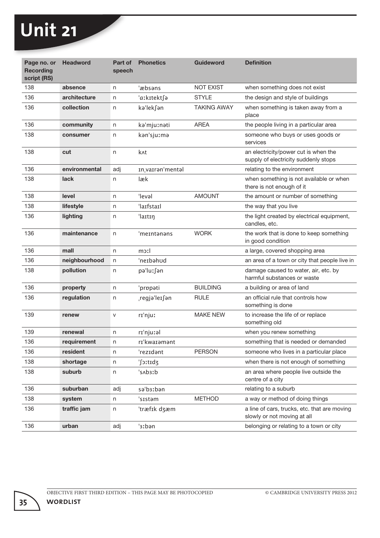| Page no. or<br><b>Recording</b><br>script (RS) | <b>Headword</b> | Part of<br>speech | <b>Phonetics</b>  | <b>Guideword</b>   | <b>Definition</b>                                                            |
|------------------------------------------------|-----------------|-------------------|-------------------|--------------------|------------------------------------------------------------------------------|
| 138                                            | absence         | n                 | 'æbsəns           | <b>NOT EXIST</b>   | when something does not exist                                                |
| 136                                            | architecture    | n                 | 'aːkɪtektfə       | <b>STYLE</b>       | the design and style of buildings                                            |
| 136                                            | collection      | n                 | kə'lek∫ən         | <b>TAKING AWAY</b> | when something is taken away from a<br>place                                 |
| 136                                            | community       | n                 | ka'mjuːnati       | AREA               | the people living in a particular area                                       |
| 138                                            | consumer        | n                 | kan'sjuːma        |                    | someone who buys or uses goods or<br>services                                |
| 138                                            | cut             | n                 | k <sub>nt</sub>   |                    | an electricity/power cut is when the<br>supply of electricity suddenly stops |
| 136                                            | environmental   | adj               | In, varran'mental |                    | relating to the environment                                                  |
| 138                                            | lack            | n                 | læk               |                    | when something is not available or when<br>there is not enough of it         |
| 138                                            | level           | n                 | 'levəl            | <b>AMOUNT</b>      | the amount or number of something                                            |
| 138                                            | lifestyle       | n                 | 'laɪfstaɪl        |                    | the way that you live                                                        |
| 136                                            | lighting        | n                 | 'laɪtɪŋ           |                    | the light created by electrical equipment,<br>candles, etc.                  |
| 136                                            | maintenance     | n                 | 'meɪntənəns       | <b>WORK</b>        | the work that is done to keep something<br>in good condition                 |
| 136                                            | mall            | n                 | moːl              |                    | a large, covered shopping area                                               |
| 136                                            | neighbourhood   | n                 | 'neɪbəhʊd         |                    | an area of a town or city that people live in                                |
| 138                                            | pollution       | n                 | pə'luː∫ən         |                    | damage caused to water, air, etc. by<br>harmful substances or waste          |
| 136                                            | property        | n                 | 'propati          | <b>BUILDING</b>    | a building or area of land                                                   |
| 136                                            | regulation      | n                 | ¦regjə'leɪ∫ən     | <b>RULE</b>        | an official rule that controls how<br>something is done                      |
| 139                                            | renew           | V                 | rɪˈnjuː           | <b>MAKE NEW</b>    | to increase the life of or replace<br>something old                          |
| 139                                            | renewal         | n                 | rɪ'njuːəl         |                    | when you renew something                                                     |
| 136                                            | requirement     | n                 | rɪˈkwaɪəmənt      |                    | something that is needed or demanded                                         |
| 136                                            | resident        | n                 | 'rezidant         | <b>PERSON</b>      | someone who lives in a particular place                                      |
| 138                                            | shortage        | n                 | 'Sitidz           |                    | when there is not enough of something                                        |
| 138                                            | suburb          | n                 | dːɛdʌəˈ           |                    | an area where people live outside the<br>centre of a city                    |
| 136                                            | suburban        | adj               | sə'b3ːbən         |                    | relating to a suburb                                                         |
| 138                                            | system          | n                 | 'sIstəm           | <b>METHOD</b>      | a way or method of doing things                                              |
| 136                                            | traffic jam     | n                 | 'træfik dzæm      |                    | a line of cars, trucks, etc. that are moving<br>slowly or not moving at all  |
| 136                                            | urban           | adj               | '3ːbən            |                    | belonging or relating to a town or city                                      |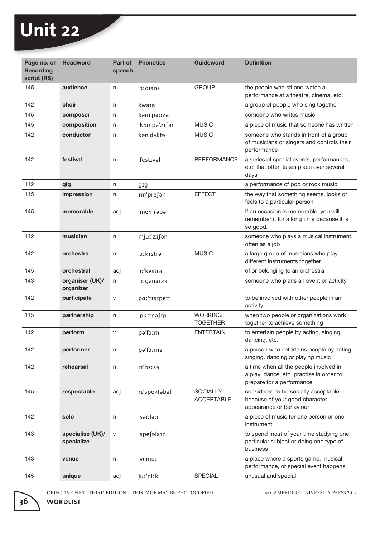| Page no. or<br><b>Recording</b><br>script (RS) | <b>Headword</b>                | Part of<br>speech | <b>Phonetics</b>    | <b>Guideword</b>                     | <b>Definition</b>                                                                                               |
|------------------------------------------------|--------------------------------|-------------------|---------------------|--------------------------------------|-----------------------------------------------------------------------------------------------------------------|
| 145                                            | audience                       | n                 | clians <sup>'</sup> | <b>GROUP</b>                         | the people who sit and watch a<br>performance at a theatre, cinema, etc.                                        |
| 142                                            | choir                          | n                 | kwarə               |                                      | a group of people who sing together                                                                             |
| 145                                            | composer                       | n                 | kam'pauza           |                                      | someone who writes music                                                                                        |
| 145                                            | composition                    | n                 | kompə'zɪ∫ən         | <b>MUSIC</b>                         | a piece of music that someone has written                                                                       |
| 142                                            | conductor                      | n                 | kan'd Akta          | <b>MUSIC</b>                         | someone who stands in front of a group<br>of musicians or singers and controls their<br>performance             |
| 142                                            | festival                       | n                 | 'festIval           | PERFORMANCE                          | a series of special events, performances,<br>etc. that often takes place over several<br>days                   |
| 142                                            | gig                            | n                 | gig                 |                                      | a performance of pop or rock music                                                                              |
| 145                                            | impression                     | n                 | Im'pre∫ən           | <b>EFFECT</b>                        | the way that something seems, looks or<br>feels to a particular person                                          |
| 145                                            | memorable                      | adj               | 'memrabal           |                                      | If an occasion is memorable, you will<br>remember it for a long time because it is<br>so good.                  |
| 142                                            | musician                       | n                 | mjuː'zɪ∫ən          |                                      | someone who plays a musical instrument,<br>often as a job                                                       |
| 142                                            | orchestra                      | n                 | 's:kistra           | <b>MUSIC</b>                         | a large group of musicians who play<br>different instruments together                                           |
| 145                                            | orchestral                     | adj               | pːˈkestrəl          |                                      | of or belonging to an orchestra                                                                                 |
| 143                                            | organiser (UK)/<br>organizer   | n                 | 'oːgənaɪzə          |                                      | someone who plans an event or activity                                                                          |
| 142                                            | participate                    | V                 | paː'tɪsɪpeɪt        |                                      | to be involved with other people in an<br>activity                                                              |
| 145                                            | partnership                    | n                 | 'paːtnə∫ɪp          | <b>WORKING</b><br><b>TOGETHER</b>    | when two people or organizations work<br>together to achieve something                                          |
| 142                                            | perform                        | V                 | pa'foːm             | <b>ENTERTAIN</b>                     | to entertain people by acting, singing,<br>dancing, etc.                                                        |
| 142                                            | performer                      | n                 | pa'foːmə            |                                      | a person who entertains people by acting,<br>singing, dancing or playing music                                  |
| 142                                            | rehearsal                      | n                 | rɪ'hɜːsəl           |                                      | a time when all the people involved in<br>a play, dance, etc. practise in order to<br>prepare for a performance |
| 145                                            | respectable                    | adj               | rɪ'spektəbəl        | <b>SOCIALLY</b><br><b>ACCEPTABLE</b> | considered to be socially acceptable<br>because of your good character,<br>appearance or behaviour              |
| 142                                            | solo                           | n                 | ueluez'             |                                      | a piece of music for one person or one<br>instrument                                                            |
| 143                                            | specialise (UK)/<br>specialize | ${\sf V}$         | 'spesəlaiz          |                                      | to spend most of your time studying one<br>particular subject or doing one type of<br>business                  |
| 143                                            | venue                          | n                 | 'venjuː             |                                      | a place where a sports game, musical<br>performance, or special event happens                                   |
| 145                                            | unique                         | adj               | juːˈniːk            | <b>SPECIAL</b>                       | unusual and special                                                                                             |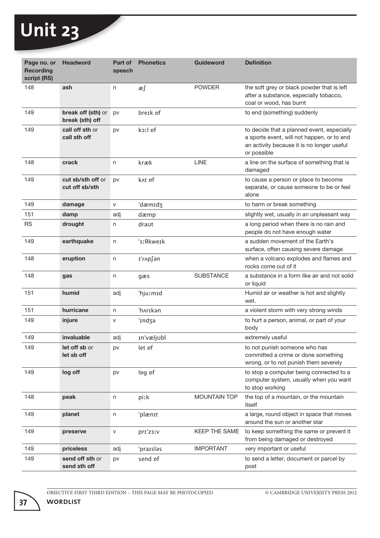| Page no. or<br><b>Recording</b><br>script (RS) | <b>Headword</b>                       | Part of<br>speech | <b>Phonetics</b>        | <b>Guideword</b>    | <b>Definition</b>                                                                                                                                     |
|------------------------------------------------|---------------------------------------|-------------------|-------------------------|---------------------|-------------------------------------------------------------------------------------------------------------------------------------------------------|
| 148                                            | ash                                   | n                 | æ∫                      | <b>POWDER</b>       | the soft grey or black powder that is left<br>after a substance, especially tobacco,<br>coal or wood, has burnt                                       |
| 149                                            | break off (sth) or<br>break (sth) off | pv                | breik pf                |                     | to end (something) suddenly                                                                                                                           |
| 149                                            | call off sth or<br>call sth off       | pv                | koːl pf                 |                     | to decide that a planned event, especially<br>a sports event, will not happen, or to end<br>an activity because it is no longer useful<br>or possible |
| 148                                            | crack                                 | n                 | kræk                    | <b>LINE</b>         | a line on the surface of something that is<br>damaged                                                                                                 |
| 149                                            | cut sb/sth off or<br>cut off sb/sth   | pv                | knt pf                  |                     | to cause a person or place to become<br>separate, or cause someone to be or feel<br>alone                                                             |
| 149                                            | damage                                | V                 | 'dæmıdʒ                 |                     | to harm or break something                                                                                                                            |
| 151                                            | damp                                  | adj               | dæmp                    |                     | slightly wet, usually in an unpleasant way                                                                                                            |
| <b>RS</b>                                      | drought                               | n                 | draut                   |                     | a long period when there is no rain and<br>people do not have enough water                                                                            |
| 149                                            | earthquake                            | n                 | ' <sub>3</sub> : θkweɪk |                     | a sudden movement of the Earth's<br>surface, often causing severe damage                                                                              |
| 148                                            | eruption                              | n                 | I'r∧p∫ən                |                     | when a volcano explodes and flames and<br>rocks come out of it                                                                                        |
| 148                                            | gas                                   | n                 | gæs                     | <b>SUBSTANCE</b>    | a substance in a form like air and not solid<br>or liquid                                                                                             |
| 151                                            | humid                                 | adj               | 'hjuːmɪd                |                     | Humid air or weather is hot and slightly<br>wet.                                                                                                      |
| 151                                            | hurricane                             | n                 | 'hʌrɪkən                |                     | a violent storm with very strong winds                                                                                                                |
| 149                                            | injure                                | V                 | 'Indza                  |                     | to hurt a person, animal, or part of your<br>body                                                                                                     |
| 149                                            | invaluable                            | adj               | In'væljobl              |                     | extremely useful                                                                                                                                      |
| 149                                            | let off sb or<br>let sb off           | pv                | let pf                  |                     | to not punish someone who has<br>committed a crime or done something<br>wrong, or to not punish them severely                                         |
| 149                                            | log off                               | pv                | lpg pf                  |                     | to stop a computer being connected to a<br>computer system, usually when you want<br>to stop working                                                  |
| 148                                            | peak                                  | n                 | piːk                    | <b>MOUNTAIN TOP</b> | the top of a mountain, or the mountain<br>itself                                                                                                      |
| 149                                            | planet                                | n                 | 'plænɪt                 |                     | a large, round object in space that moves<br>around the sun or another star                                                                           |
| 149                                            | preserve                              | V                 | pri'z3IV                | KEEP THE SAME       | to keep something the same or prevent it<br>from being damaged or destroyed                                                                           |
| 149                                            | priceless                             | adj               | 'praɪsləs               | <b>IMPORTANT</b>    | very important or useful                                                                                                                              |
| 149                                            | send off sth or<br>send sth off       | pv                | send pf                 |                     | to send a letter, document or parcel by<br>post                                                                                                       |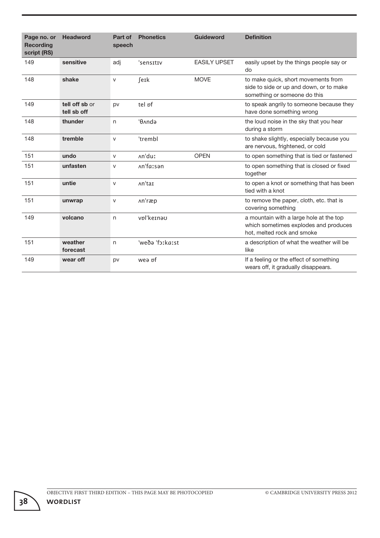| Page no. or<br><b>Recording</b><br>script (RS) | <b>Headword</b>               | Part of<br>speech | <b>Phonetics</b>         | <b>Guideword</b>    | <b>Definition</b>                                                                                              |
|------------------------------------------------|-------------------------------|-------------------|--------------------------|---------------------|----------------------------------------------------------------------------------------------------------------|
| 149                                            | sensitive                     | adj               | 'sensitiv                | <b>EASILY UPSET</b> | easily upset by the things people say or<br>do                                                                 |
| 148                                            | shake                         | V                 | ferk                     | <b>MOVE</b>         | to make quick, short movements from<br>side to side or up and down, or to make<br>something or someone do this |
| 149                                            | tell off sb or<br>tell sb off | pv                | tel <i>pf</i>            |                     | to speak angrily to someone because they<br>have done something wrong                                          |
| 148                                            | thunder                       | n                 | <b>Gond</b> <sup>-</sup> |                     | the loud noise in the sky that you hear<br>during a storm                                                      |
| 148                                            | tremble                       | $\mathsf{V}$      | 'trembl                  |                     | to shake slightly, especially because you<br>are nervous, frightened, or cold                                  |
| 151                                            | undo                          | $\mathsf{V}$      | An'duː                   | <b>OPEN</b>         | to open something that is tied or fastened                                                                     |
| 151                                            | unfasten                      | V                 | An'faːsən                |                     | to open something that is closed or fixed<br>together                                                          |
| 151                                            | untie                         | $\vee$            | An'tai                   |                     | to open a knot or something that has been<br>tied with a knot                                                  |
| 151                                            | unwrap                        | $\vee$            | An'ræp                   |                     | to remove the paper, cloth, etc. that is<br>covering something                                                 |
| 149                                            | volcano                       | n                 | vpl'keɪnəʊ               |                     | a mountain with a large hole at the top<br>which sometimes explodes and produces<br>hot, melted rock and smoke |
| 151                                            | weather<br>forecast           | n                 | 'weðə 'fɔːkaːst          |                     | a description of what the weather will be<br>like                                                              |
| 149                                            | wear off                      | pv                | wea pf                   |                     | If a feeling or the effect of something<br>wears off, it gradually disappears.                                 |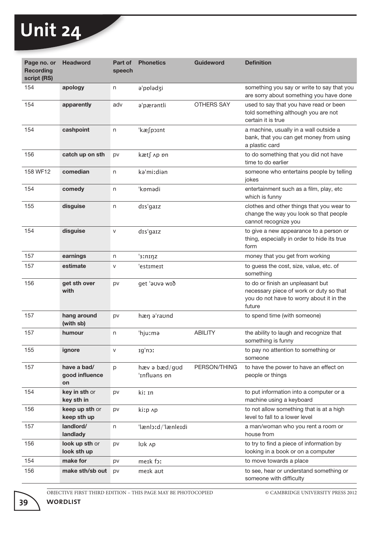| Page no. or<br><b>Recording</b><br>script (RS) | <b>Headword</b>                     | Part of<br>speech | <b>Phonetics</b>              | Guideword      | <b>Definition</b>                                                                                                                  |
|------------------------------------------------|-------------------------------------|-------------------|-------------------------------|----------------|------------------------------------------------------------------------------------------------------------------------------------|
| 154                                            | apology                             | n                 | a'ppladzi                     |                | something you say or write to say that you<br>are sorry about something you have done                                              |
| 154                                            | apparently                          | adv               | a'pærantli                    | OTHERS SAY     | used to say that you have read or been<br>told something although you are not<br>certain it is true                                |
| 154                                            | cashpoint                           | n                 | 'kæ∫poɪnt                     |                | a machine, usually in a wall outside a<br>bank, that you can get money from using<br>a plastic card                                |
| 156                                            | catch up on sth                     | pv                | kæt∫ ∧p <i>bn</i>             |                | to do something that you did not have<br>time to do earlier                                                                        |
| 158 WF12                                       | comedian                            | n                 | kə'miːdiən                    |                | someone who entertains people by telling<br>jokes                                                                                  |
| 154                                            | comedy                              | n                 | 'kømadi                       |                | entertainment such as a film, play, etc<br>which is funny                                                                          |
| 155                                            | disguise                            | n                 | dis'gaiz                      |                | clothes and other things that you wear to<br>change the way you look so that people<br>cannot recognize you                        |
| 154                                            | disguise                            | $\mathsf{V}$      | dis'gaiz                      |                | to give a new appearance to a person or<br>thing, especially in order to hide its true<br>form                                     |
| 157                                            | earnings                            | n                 | '3Ininz                       |                | money that you get from working                                                                                                    |
| 157                                            | estimate                            | V                 | 'estimeit                     |                | to guess the cost, size, value, etc. of<br>something                                                                               |
| 156                                            | get sth over<br>with                | pv                | get 'auva wið                 |                | to do or finish an unpleasant but<br>necessary piece of work or duty so that<br>you do not have to worry about it in the<br>future |
| 157                                            | hang around<br>(with sb)            | pv                | hæn a'raund                   |                | to spend time (with someone)                                                                                                       |
| 157                                            | humour                              | n                 | 'hjuːmə                       | <b>ABILITY</b> | the ability to laugh and recognize that<br>something is funny                                                                      |
| 155                                            | ignore                              | $\mathsf{V}$      | Ig'no!                        |                | to pay no attention to something or<br>someone                                                                                     |
| 157                                            | have a bad/<br>good influence<br>on | p                 | hæv ə bæd/gud<br>'ɪnfluəns ɒn | PERSON/THING   | to have the power to have an effect on<br>people or things                                                                         |
| 154                                            | key in sth or<br>key sth in         | pv                | kiː In                        |                | to put information into a computer or a<br>machine using a keyboard                                                                |
| 156                                            | keep up sth or<br>keep sth up       | pv                | kiːp ʌp                       |                | to not allow something that is at a high<br>level to fall to a lower level                                                         |
| 157                                            | landlord/<br>landlady               | n                 | 'lænloːd/'lænleɪdi            |                | a man/woman who you rent a room or<br>house from                                                                                   |
| 156                                            | look up sth or<br>look sth up       | pv                | luk Ap                        |                | to try to find a piece of information by<br>looking in a book or on a computer                                                     |
| 154                                            | make for                            | pv                | meik for                      |                | to move towards a place                                                                                                            |
| 156                                            | make sth/sb out                     | pv                | meik aut                      |                | to see, hear or understand something or<br>someone with difficulty                                                                 |